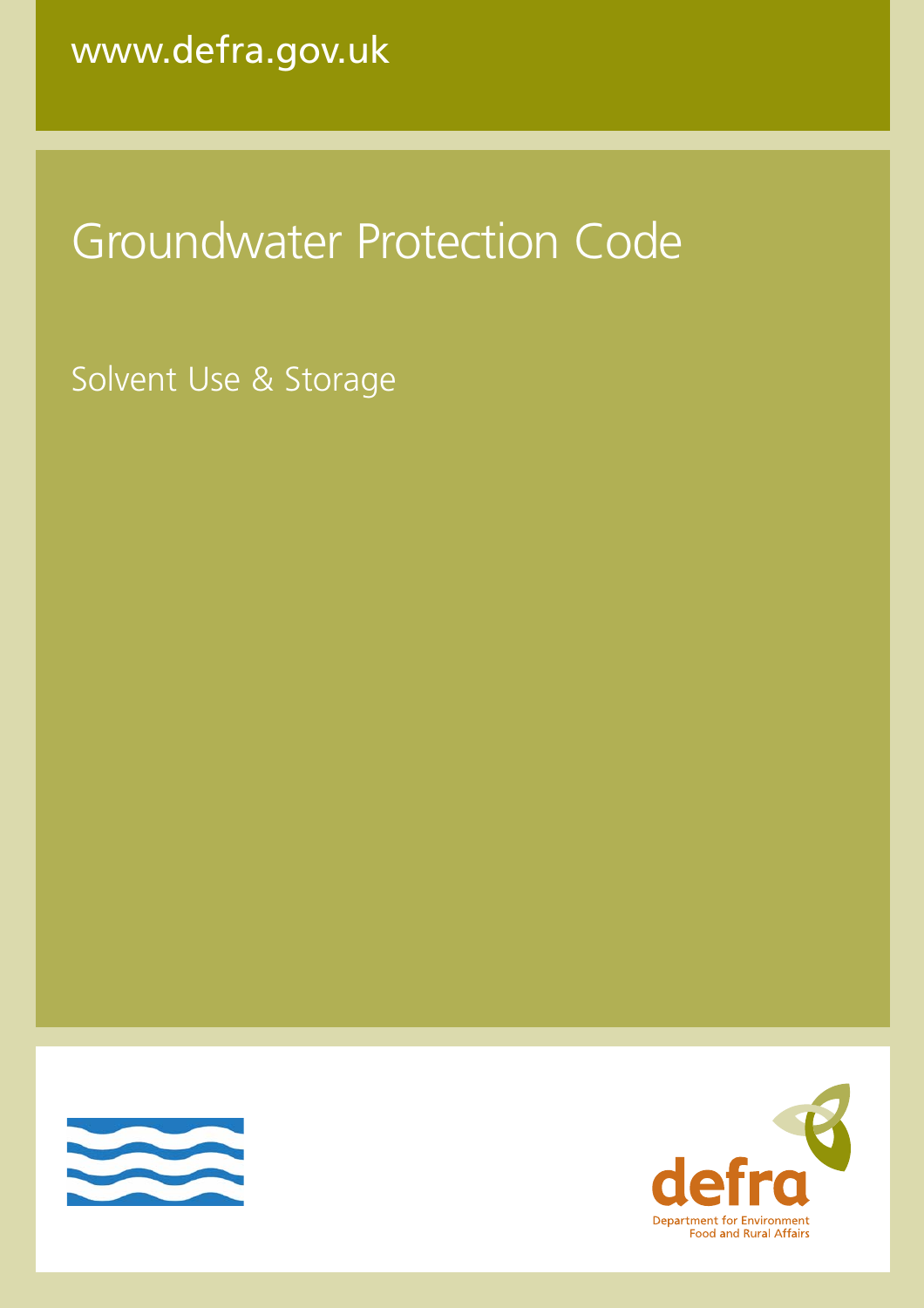# Groundwater Protection Code

Solvent Use & Storage



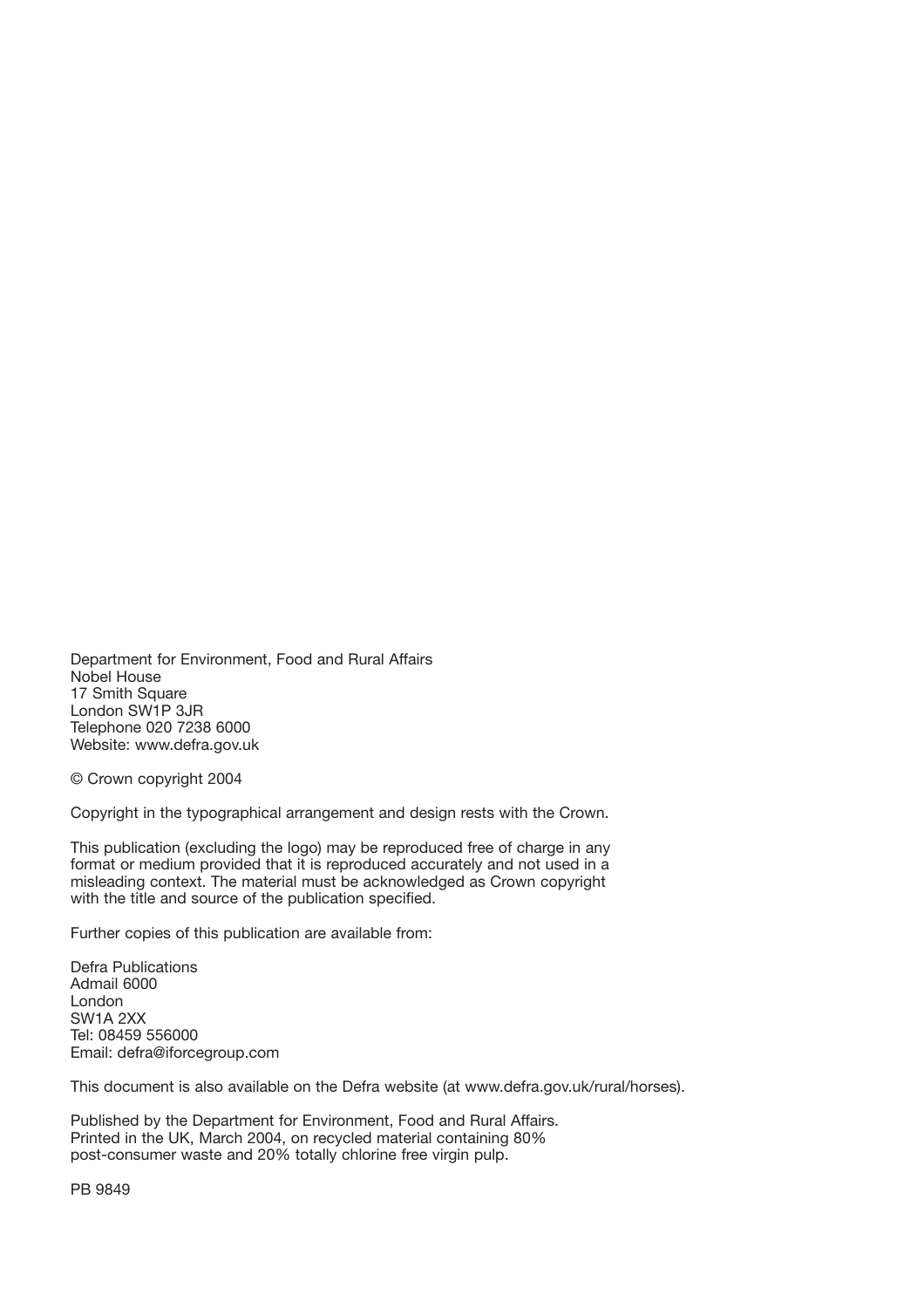Department for Environment, Food and Rural Affairs Nobel House 17 Smith Square London SW1P 3JR Telephone 020 7238 6000 Website: www.defra.gov.uk

© Crown copyright 2004

Copyright in the typographical arrangement and design rests with the Crown.

This publication (excluding the logo) may be reproduced free of charge in any format or medium provided that it is reproduced accurately and not used in a misleading context. The material must be acknowledged as Crown copyright with the title and source of the publication specified.

Further copies of this publication are available from:

Defra Publications Admail 6000 London SW1A 2XX Tel: 08459 556000 Email: defra@iforcegroup.com

This document is also available on the Defra website (at www.defra.gov.uk/rural/horses).

Published by the Department for Environment, Food and Rural Affairs. Printed in the UK, March 2004, on recycled material containing 80% post-consumer waste and 20% totally chlorine free virgin pulp.

PB 9849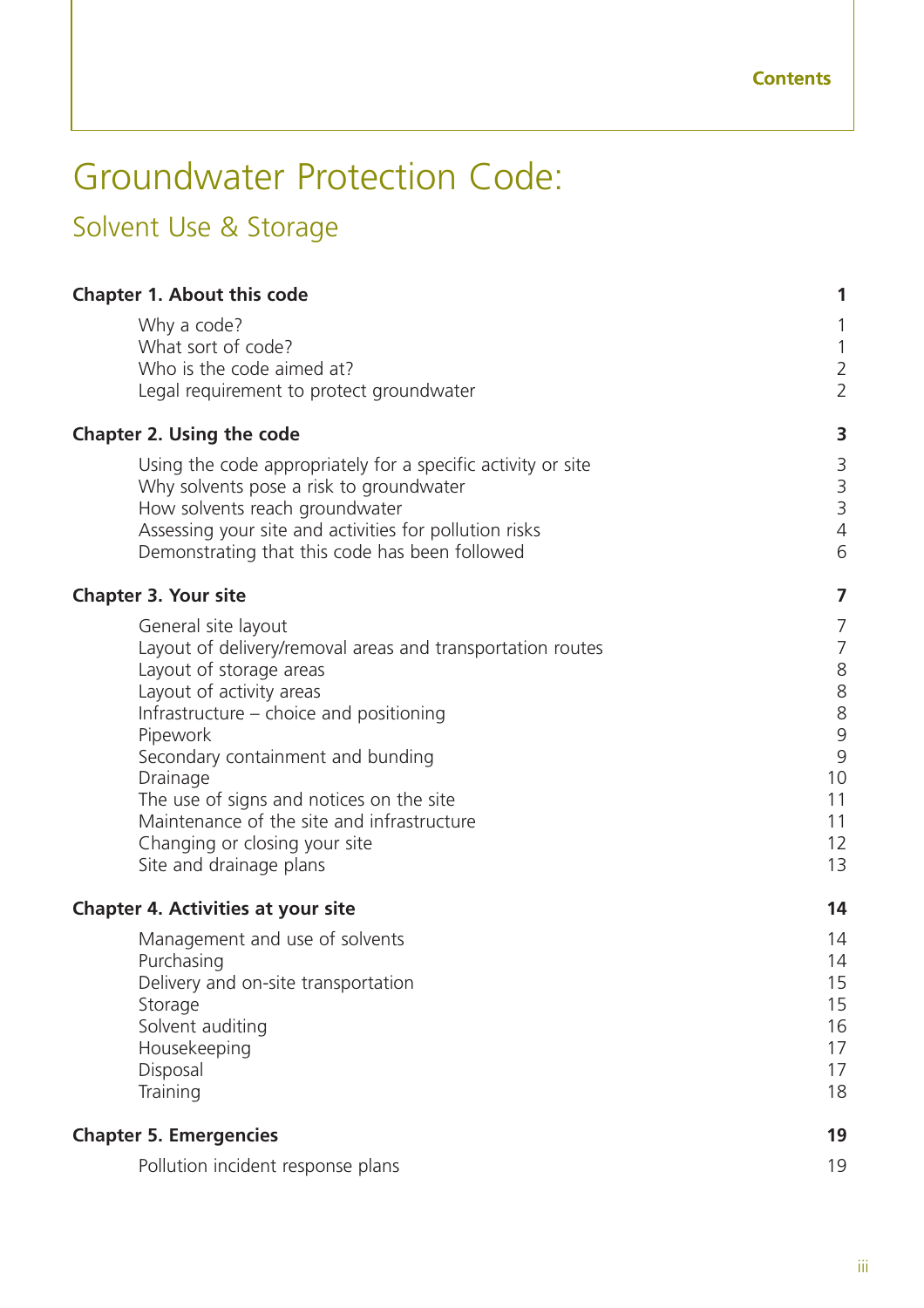## Groundwater Protection Code:

## Solvent Use & Storage

| <b>Chapter 1. About this code</b>                                                                                                                                                                                                                                                                                                                                                                      | 1                                                                          |
|--------------------------------------------------------------------------------------------------------------------------------------------------------------------------------------------------------------------------------------------------------------------------------------------------------------------------------------------------------------------------------------------------------|----------------------------------------------------------------------------|
| Why a code?<br>What sort of code?<br>Who is the code aimed at?<br>Legal requirement to protect groundwater                                                                                                                                                                                                                                                                                             | 1<br>$\mathbbm{1}$<br>$\overline{2}$<br>$\overline{2}$                     |
| <b>Chapter 2. Using the code</b>                                                                                                                                                                                                                                                                                                                                                                       | 3                                                                          |
| Using the code appropriately for a specific activity or site<br>Why solvents pose a risk to groundwater<br>How solvents reach groundwater<br>Assessing your site and activities for pollution risks<br>Demonstrating that this code has been followed                                                                                                                                                  | $\begin{array}{c} 3 \\ 3 \end{array}$<br>$\overline{4}$<br>6               |
| <b>Chapter 3. Your site</b>                                                                                                                                                                                                                                                                                                                                                                            | 7                                                                          |
| General site layout<br>Layout of delivery/removal areas and transportation routes<br>Layout of storage areas<br>Layout of activity areas<br>Infrastructure – choice and positioning<br>Pipework<br>Secondary containment and bunding<br>Drainage<br>The use of signs and notices on the site<br>Maintenance of the site and infrastructure<br>Changing or closing your site<br>Site and drainage plans | 7<br>$\overline{7}$<br>8<br>8<br>8<br>9<br>9<br>10<br>11<br>11<br>12<br>13 |
| <b>Chapter 4. Activities at your site</b>                                                                                                                                                                                                                                                                                                                                                              | 14                                                                         |
| Management and use of solvents<br>Purchasing<br>Delivery and on-site transportation<br>Storage<br>Solvent auditing<br>Housekeeping<br>Disposal<br>Training                                                                                                                                                                                                                                             | 14<br>14<br>15<br>15<br>16<br>17<br>17<br>18                               |
| <b>Chapter 5. Emergencies</b>                                                                                                                                                                                                                                                                                                                                                                          | 19                                                                         |
| Pollution incident response plans                                                                                                                                                                                                                                                                                                                                                                      | 19                                                                         |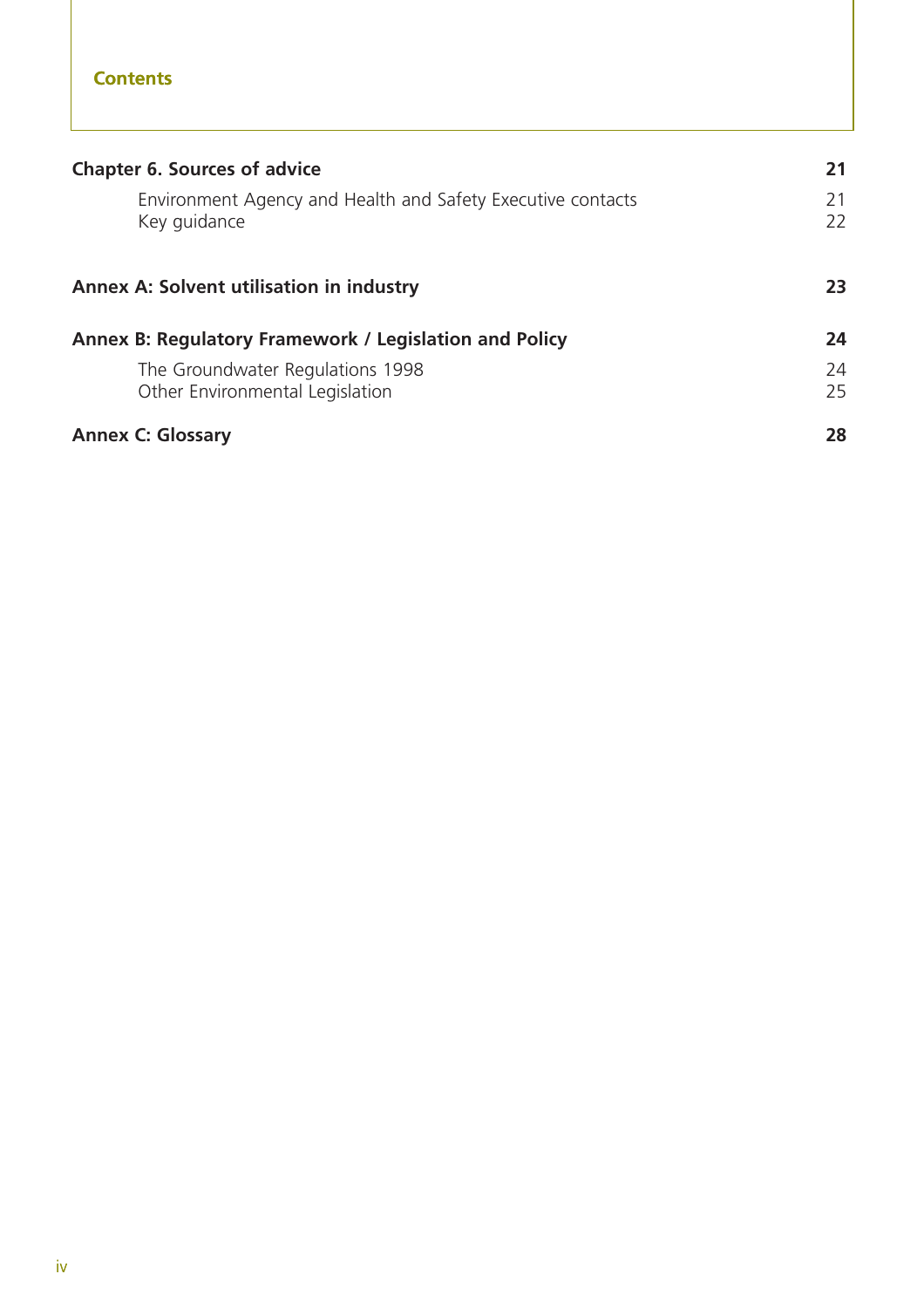| <b>Chapter 6. Sources of advice</b>                                         | 21       |
|-----------------------------------------------------------------------------|----------|
| Environment Agency and Health and Safety Executive contacts<br>Key guidance | 21<br>22 |
| Annex A: Solvent utilisation in industry                                    | 23       |
| Annex B: Regulatory Framework / Legislation and Policy                      | 24       |
| The Groundwater Regulations 1998<br>Other Environmental Legislation         | 24<br>25 |
| <b>Annex C: Glossary</b>                                                    | 28       |

**Contents**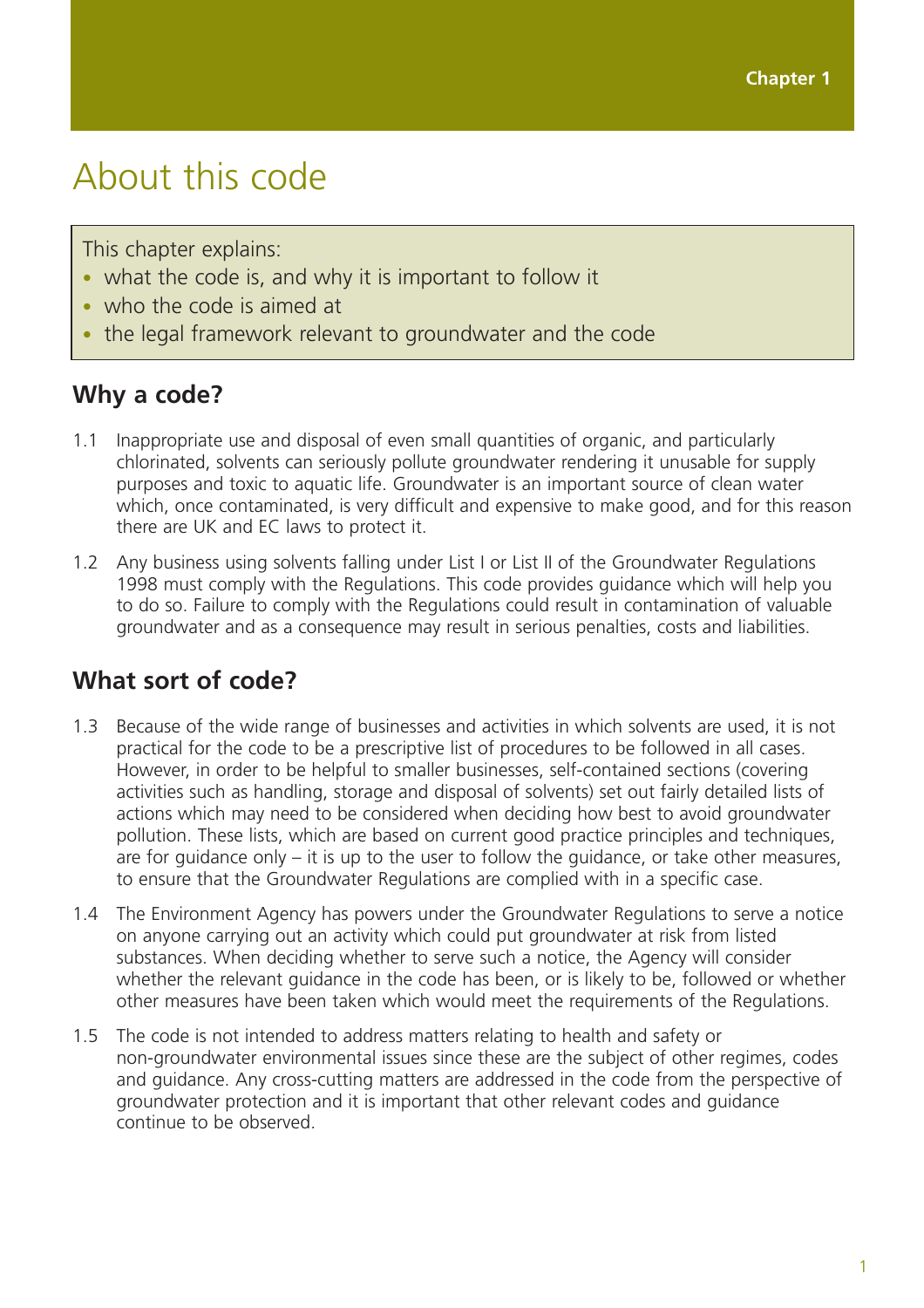## About this code

This chapter explains:

- what the code is, and why it is important to follow it
- who the code is aimed at
- the legal framework relevant to groundwater and the code

#### **Why a code?**

- 1.1 Inappropriate use and disposal of even small quantities of organic, and particularly chlorinated, solvents can seriously pollute groundwater rendering it unusable for supply purposes and toxic to aquatic life. Groundwater is an important source of clean water which, once contaminated, is very difficult and expensive to make good, and for this reason there are UK and EC laws to protect it.
- 1.2 Any business using solvents falling under List I or List II of the Groundwater Regulations 1998 must comply with the Regulations. This code provides guidance which will help you to do so. Failure to comply with the Regulations could result in contamination of valuable groundwater and as a consequence may result in serious penalties, costs and liabilities.

#### **What sort of code?**

- 1.3 Because of the wide range of businesses and activities in which solvents are used, it is not practical for the code to be a prescriptive list of procedures to be followed in all cases. However, in order to be helpful to smaller businesses, self-contained sections (covering activities such as handling, storage and disposal of solvents) set out fairly detailed lists of actions which may need to be considered when deciding how best to avoid groundwater pollution. These lists, which are based on current good practice principles and techniques, are for guidance only – it is up to the user to follow the guidance, or take other measures, to ensure that the Groundwater Regulations are complied with in a specific case.
- 1.4 The Environment Agency has powers under the Groundwater Regulations to serve a notice on anyone carrying out an activity which could put groundwater at risk from listed substances. When deciding whether to serve such a notice, the Agency will consider whether the relevant guidance in the code has been, or is likely to be, followed or whether other measures have been taken which would meet the requirements of the Regulations.
- 1.5 The code is not intended to address matters relating to health and safety or non-groundwater environmental issues since these are the subject of other regimes, codes and guidance. Any cross-cutting matters are addressed in the code from the perspective of groundwater protection and it is important that other relevant codes and guidance continue to be observed.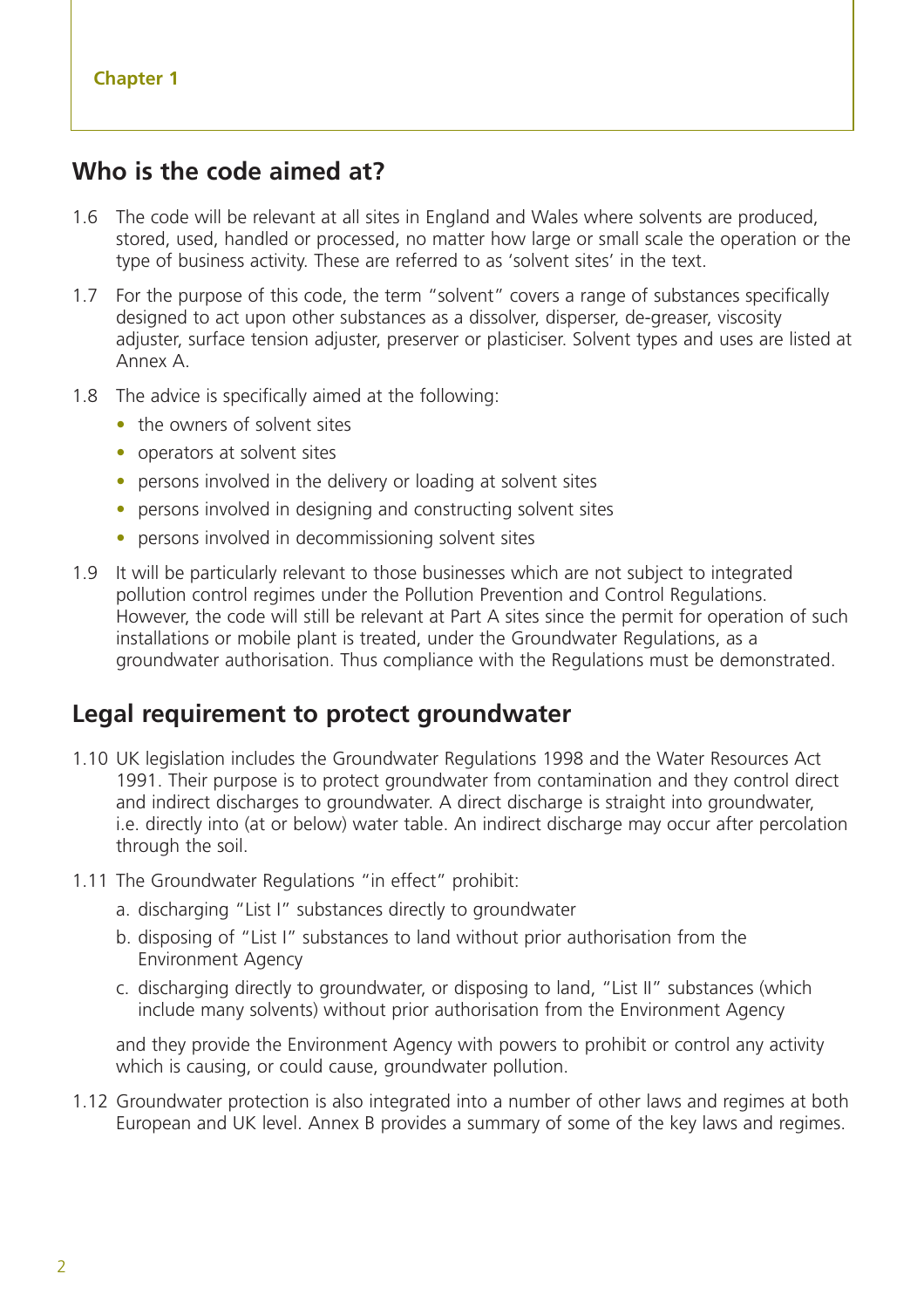#### **Who is the code aimed at?**

- 1.6 The code will be relevant at all sites in England and Wales where solvents are produced, stored, used, handled or processed, no matter how large or small scale the operation or the type of business activity. These are referred to as 'solvent sites' in the text.
- 1.7 For the purpose of this code, the term "solvent" covers a range of substances specifically designed to act upon other substances as a dissolver, disperser, de-greaser, viscosity adjuster, surface tension adjuster, preserver or plasticiser. Solvent types and uses are listed at Annex A.
- 1.8 The advice is specifically aimed at the following:
	- the owners of solvent sites
	- operators at solvent sites
	- persons involved in the delivery or loading at solvent sites
	- persons involved in designing and constructing solvent sites
	- persons involved in decommissioning solvent sites
- 1.9 It will be particularly relevant to those businesses which are not subject to integrated pollution control regimes under the Pollution Prevention and Control Regulations. However, the code will still be relevant at Part A sites since the permit for operation of such installations or mobile plant is treated, under the Groundwater Regulations, as a groundwater authorisation. Thus compliance with the Regulations must be demonstrated.

#### **Legal requirement to protect groundwater**

- 1.10 UK legislation includes the Groundwater Regulations 1998 and the Water Resources Act 1991. Their purpose is to protect groundwater from contamination and they control direct and indirect discharges to groundwater. A direct discharge is straight into groundwater, i.e. directly into (at or below) water table. An indirect discharge may occur after percolation through the soil.
- 1.11 The Groundwater Regulations "in effect" prohibit:
	- a. discharging "List I" substances directly to groundwater
	- b. disposing of "List I" substances to land without prior authorisation from the Environment Agency
	- c. discharging directly to groundwater, or disposing to land, "List II" substances (which include many solvents) without prior authorisation from the Environment Agency

and they provide the Environment Agency with powers to prohibit or control any activity which is causing, or could cause, groundwater pollution.

1.12 Groundwater protection is also integrated into a number of other laws and regimes at both European and UK level. Annex B provides a summary of some of the key laws and regimes.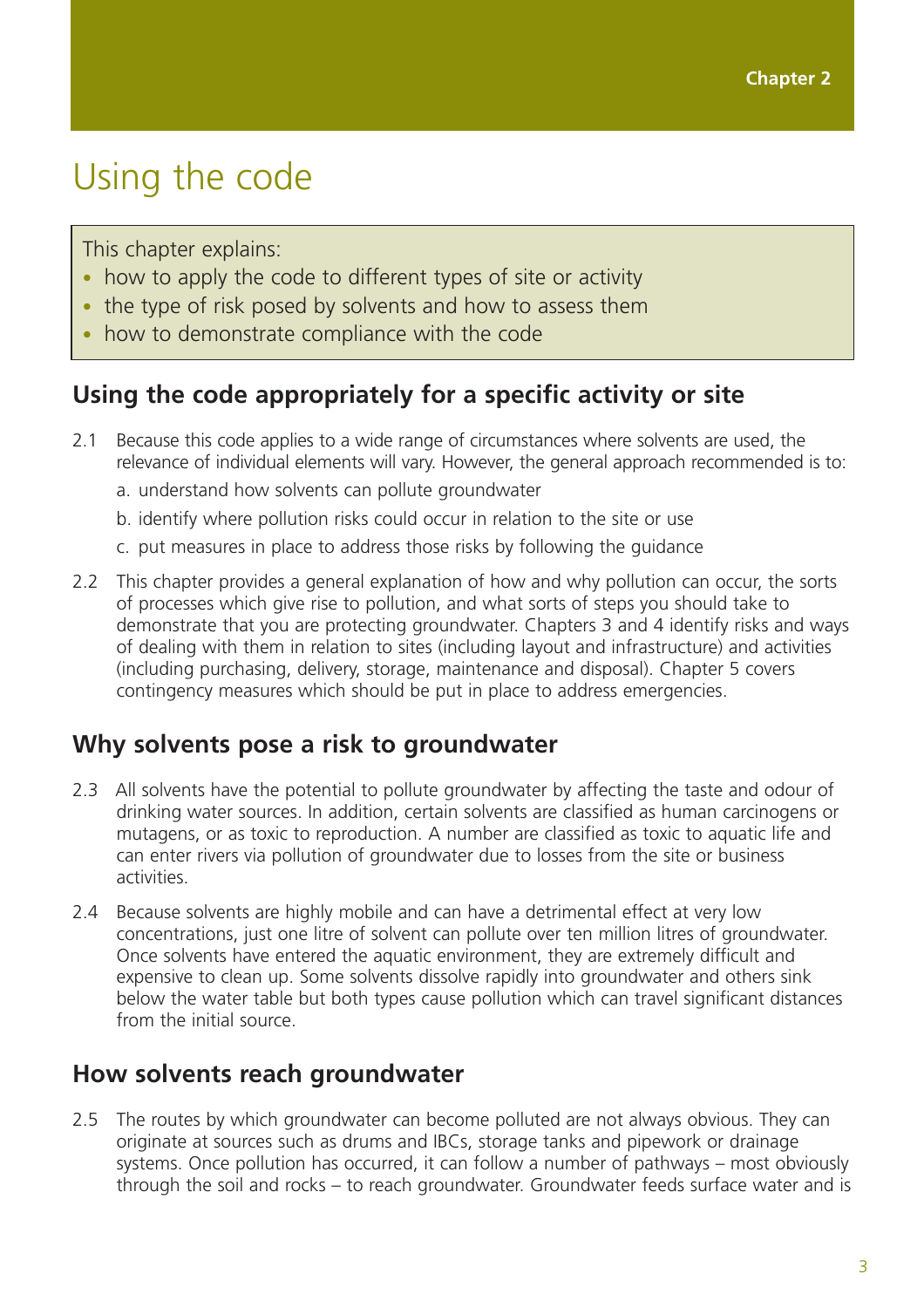## Using the code

This chapter explains:

- how to apply the code to different types of site or activity
- the type of risk posed by solvents and how to assess them
- how to demonstrate compliance with the code

### **Using the code appropriately for a specific activity or site**

- 2.1 Because this code applies to a wide range of circumstances where solvents are used, the relevance of individual elements will vary. However, the general approach recommended is to:
	- a. understand how solvents can pollute groundwater
	- b. identify where pollution risks could occur in relation to the site or use
	- c. put measures in place to address those risks by following the guidance
- 2.2 This chapter provides a general explanation of how and why pollution can occur, the sorts of processes which give rise to pollution, and what sorts of steps you should take to demonstrate that you are protecting groundwater. Chapters 3 and 4 identify risks and ways of dealing with them in relation to sites (including layout and infrastructure) and activities (including purchasing, delivery, storage, maintenance and disposal). Chapter 5 covers contingency measures which should be put in place to address emergencies.

#### **Why solvents pose a risk to groundwater**

- 2.3 All solvents have the potential to pollute groundwater by affecting the taste and odour of drinking water sources. In addition, certain solvents are classified as human carcinogens or mutagens, or as toxic to reproduction. A number are classified as toxic to aquatic life and can enter rivers via pollution of groundwater due to losses from the site or business activities.
- 2.4 Because solvents are highly mobile and can have a detrimental effect at very low concentrations, just one litre of solvent can pollute over ten million litres of groundwater. Once solvents have entered the aquatic environment, they are extremely difficult and expensive to clean up. Some solvents dissolve rapidly into groundwater and others sink below the water table but both types cause pollution which can travel significant distances from the initial source.

#### **How solvents reach groundwater**

2.5 The routes by which groundwater can become polluted are not always obvious. They can originate at sources such as drums and IBCs, storage tanks and pipework or drainage systems. Once pollution has occurred, it can follow a number of pathways – most obviously through the soil and rocks – to reach groundwater. Groundwater feeds surface water and is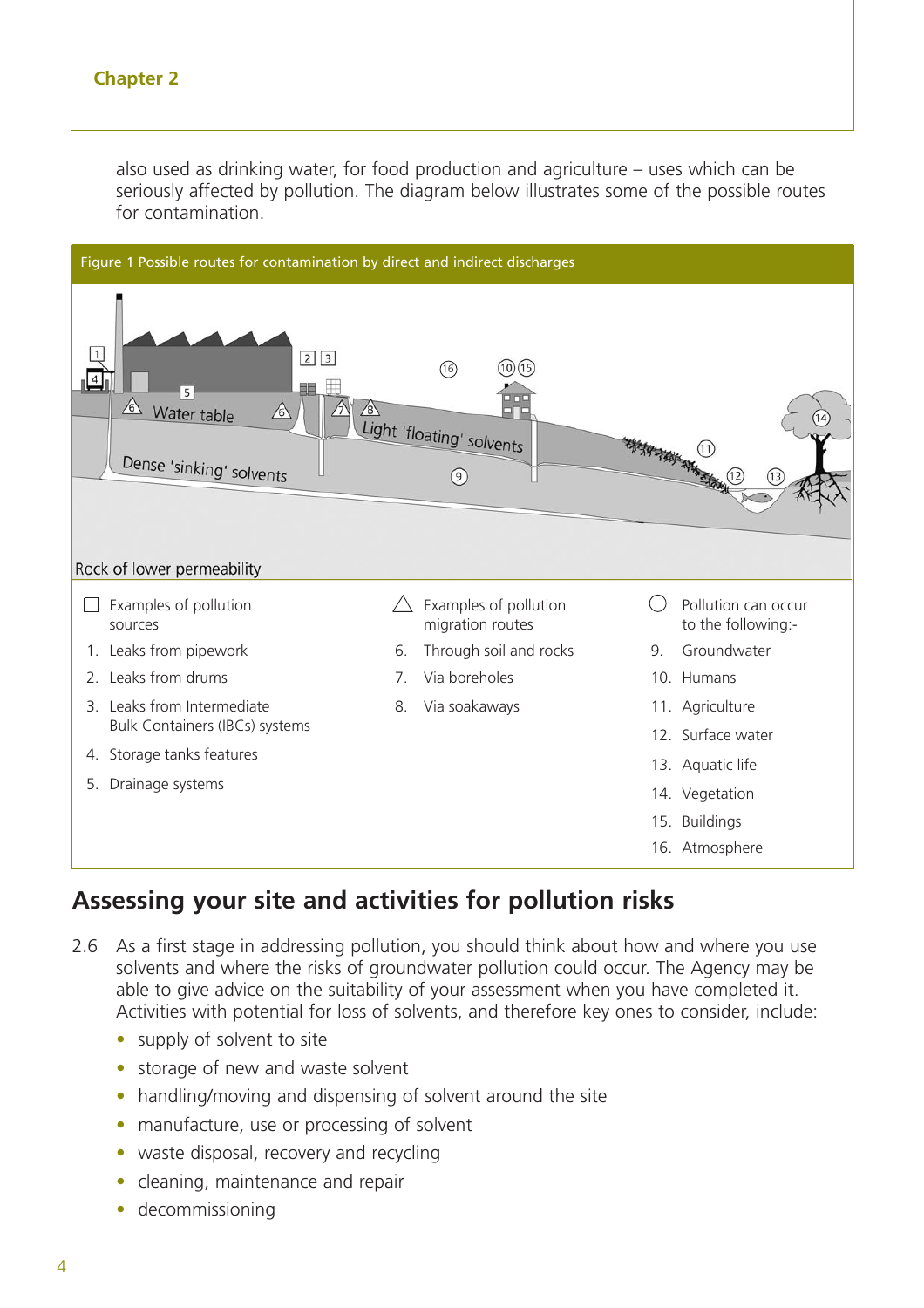also used as drinking water, for food production and agriculture – uses which can be seriously affected by pollution. The diagram below illustrates some of the possible routes for contamination.



## **Assessing your site and activities for pollution risks**

- 2.6 As a first stage in addressing pollution, you should think about how and where you use solvents and where the risks of groundwater pollution could occur. The Agency may be able to give advice on the suitability of your assessment when you have completed it. Activities with potential for loss of solvents, and therefore key ones to consider, include:
	- supply of solvent to site
	- storage of new and waste solvent
	- handling/moving and dispensing of solvent around the site
	- manufacture, use or processing of solvent
	- waste disposal, recovery and recycling
	- cleaning, maintenance and repair
	- decommissioning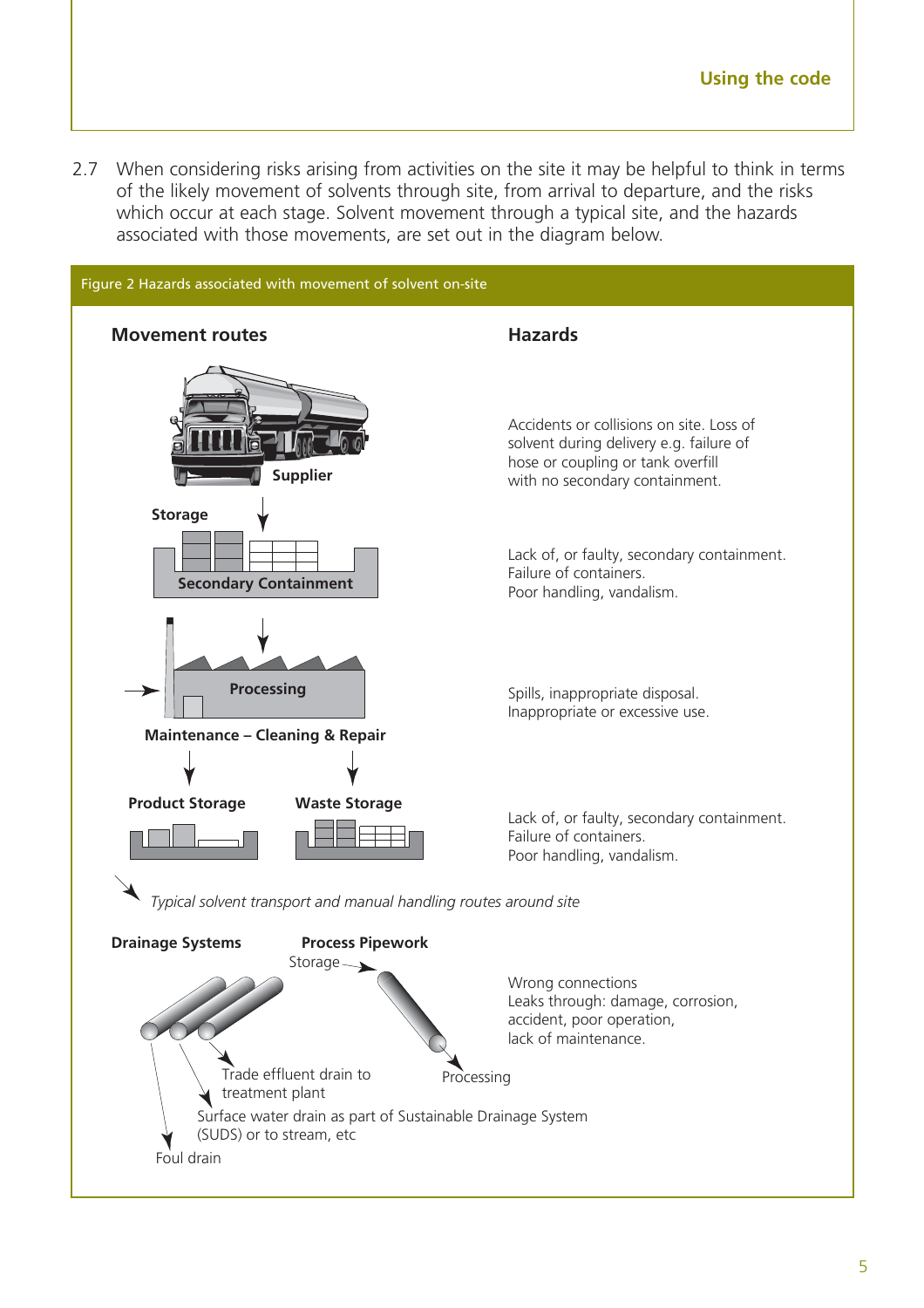2.7 When considering risks arising from activities on the site it may be helpful to think in terms of the likely movement of solvents through site, from arrival to departure, and the risks which occur at each stage. Solvent movement through a typical site, and the hazards associated with those movements, are set out in the diagram below.

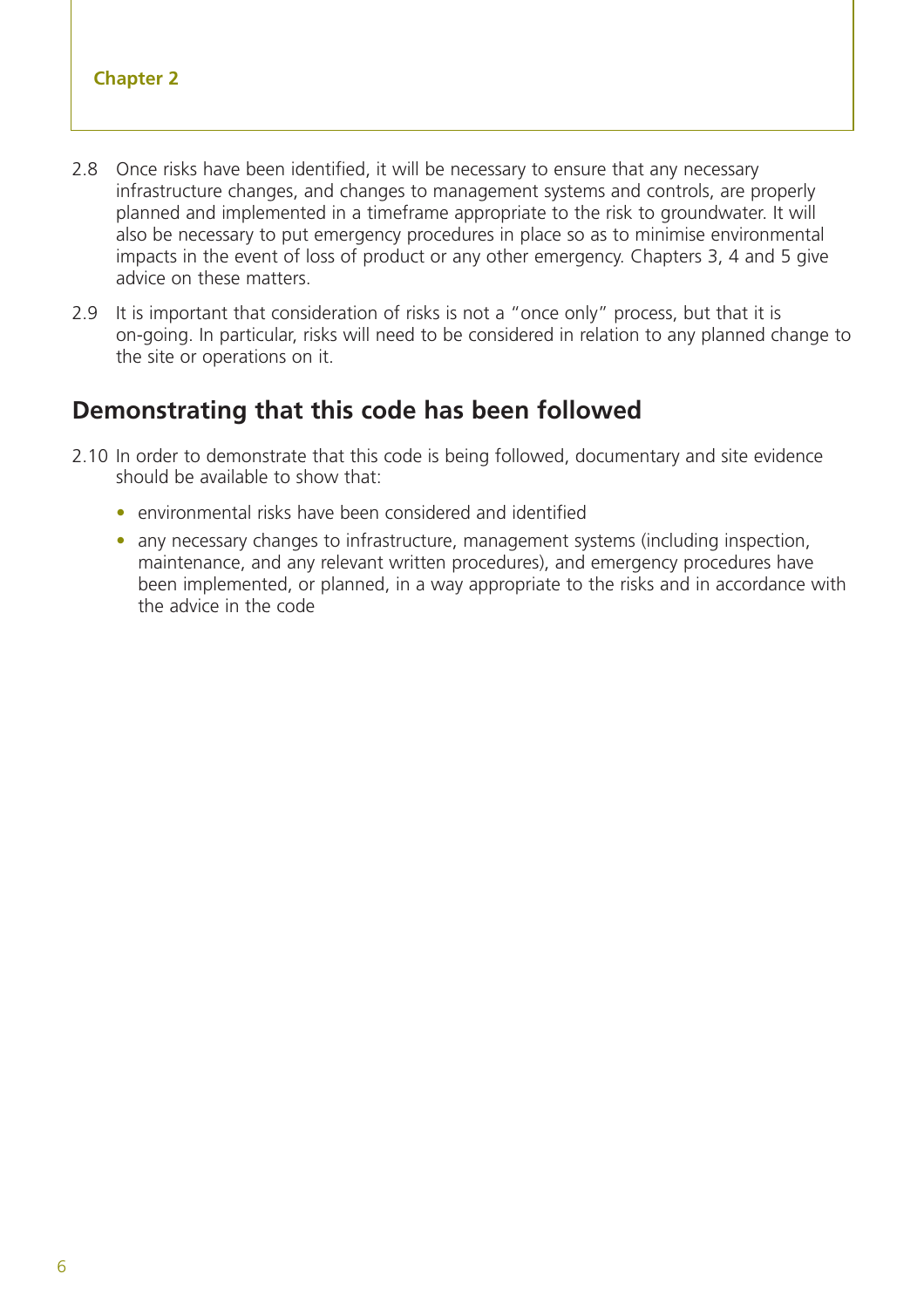- 2.8 Once risks have been identified, it will be necessary to ensure that any necessary infrastructure changes, and changes to management systems and controls, are properly planned and implemented in a timeframe appropriate to the risk to groundwater. It will also be necessary to put emergency procedures in place so as to minimise environmental impacts in the event of loss of product or any other emergency. Chapters 3, 4 and 5 give advice on these matters.
- 2.9 It is important that consideration of risks is not a "once only" process, but that it is on-going. In particular, risks will need to be considered in relation to any planned change to the site or operations on it.

### **Demonstrating that this code has been followed**

- 2.10 In order to demonstrate that this code is being followed, documentary and site evidence should be available to show that:
	- environmental risks have been considered and identified
	- any necessary changes to infrastructure, management systems (including inspection, maintenance, and any relevant written procedures), and emergency procedures have been implemented, or planned, in a way appropriate to the risks and in accordance with the advice in the code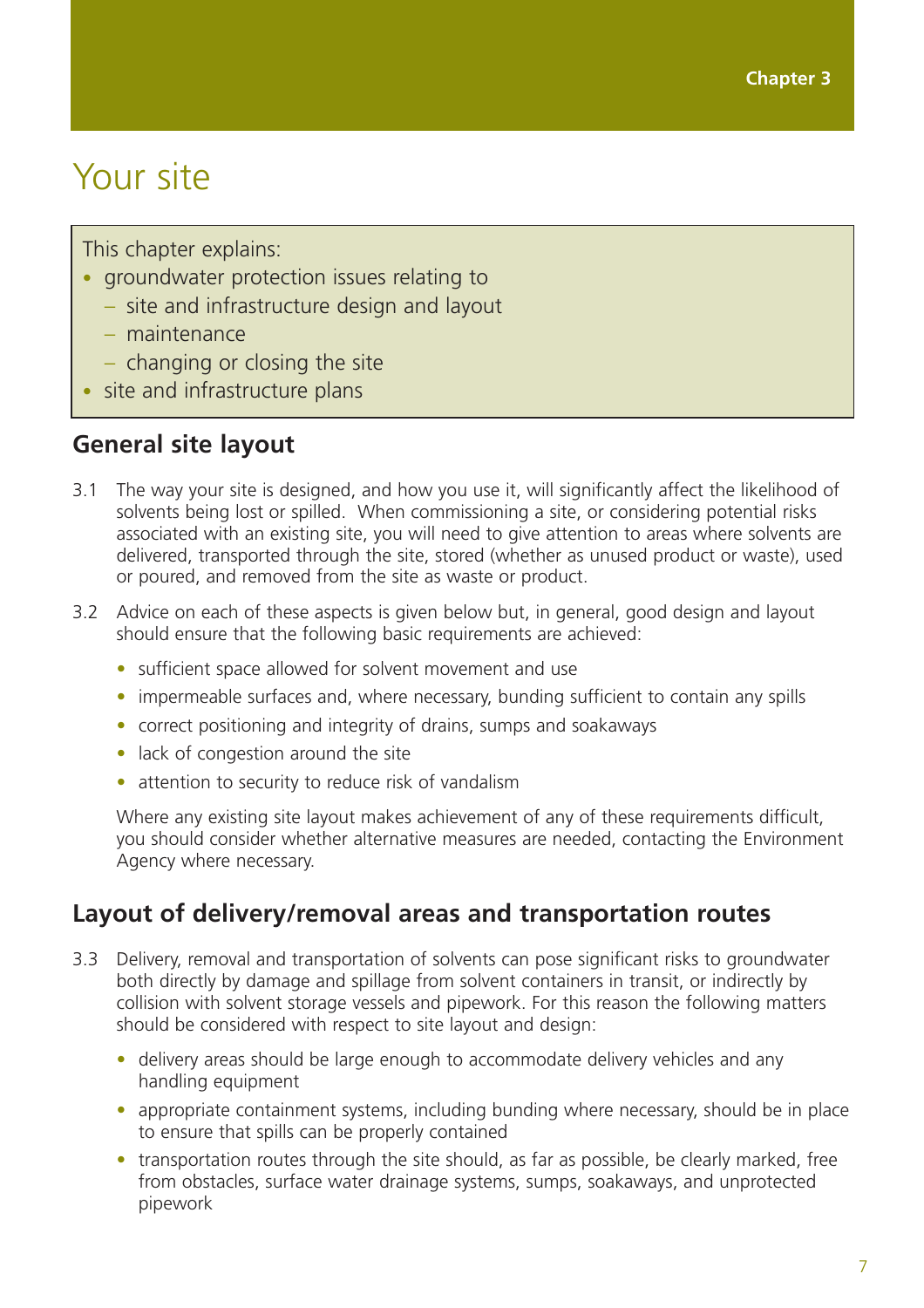## Your site

This chapter explains:

- groundwater protection issues relating to
	- site and infrastructure design and layout
	- maintenance
	- changing or closing the site
- site and infrastructure plans

### **General site layout**

- 3.1 The way your site is designed, and how you use it, will significantly affect the likelihood of solvents being lost or spilled. When commissioning a site, or considering potential risks associated with an existing site, you will need to give attention to areas where solvents are delivered, transported through the site, stored (whether as unused product or waste), used or poured, and removed from the site as waste or product.
- 3.2 Advice on each of these aspects is given below but, in general, good design and layout should ensure that the following basic requirements are achieved:
	- sufficient space allowed for solvent movement and use
	- impermeable surfaces and, where necessary, bunding sufficient to contain any spills
	- correct positioning and integrity of drains, sumps and soakaways
	- lack of congestion around the site
	- attention to security to reduce risk of vandalism

Where any existing site layout makes achievement of any of these requirements difficult, you should consider whether alternative measures are needed, contacting the Environment Agency where necessary.

## **Layout of delivery/removal areas and transportation routes**

- 3.3 Delivery, removal and transportation of solvents can pose significant risks to groundwater both directly by damage and spillage from solvent containers in transit, or indirectly by collision with solvent storage vessels and pipework. For this reason the following matters should be considered with respect to site layout and design:
	- delivery areas should be large enough to accommodate delivery vehicles and any handling equipment
	- appropriate containment systems, including bunding where necessary, should be in place to ensure that spills can be properly contained
	- transportation routes through the site should, as far as possible, be clearly marked, free from obstacles, surface water drainage systems, sumps, soakaways, and unprotected pipework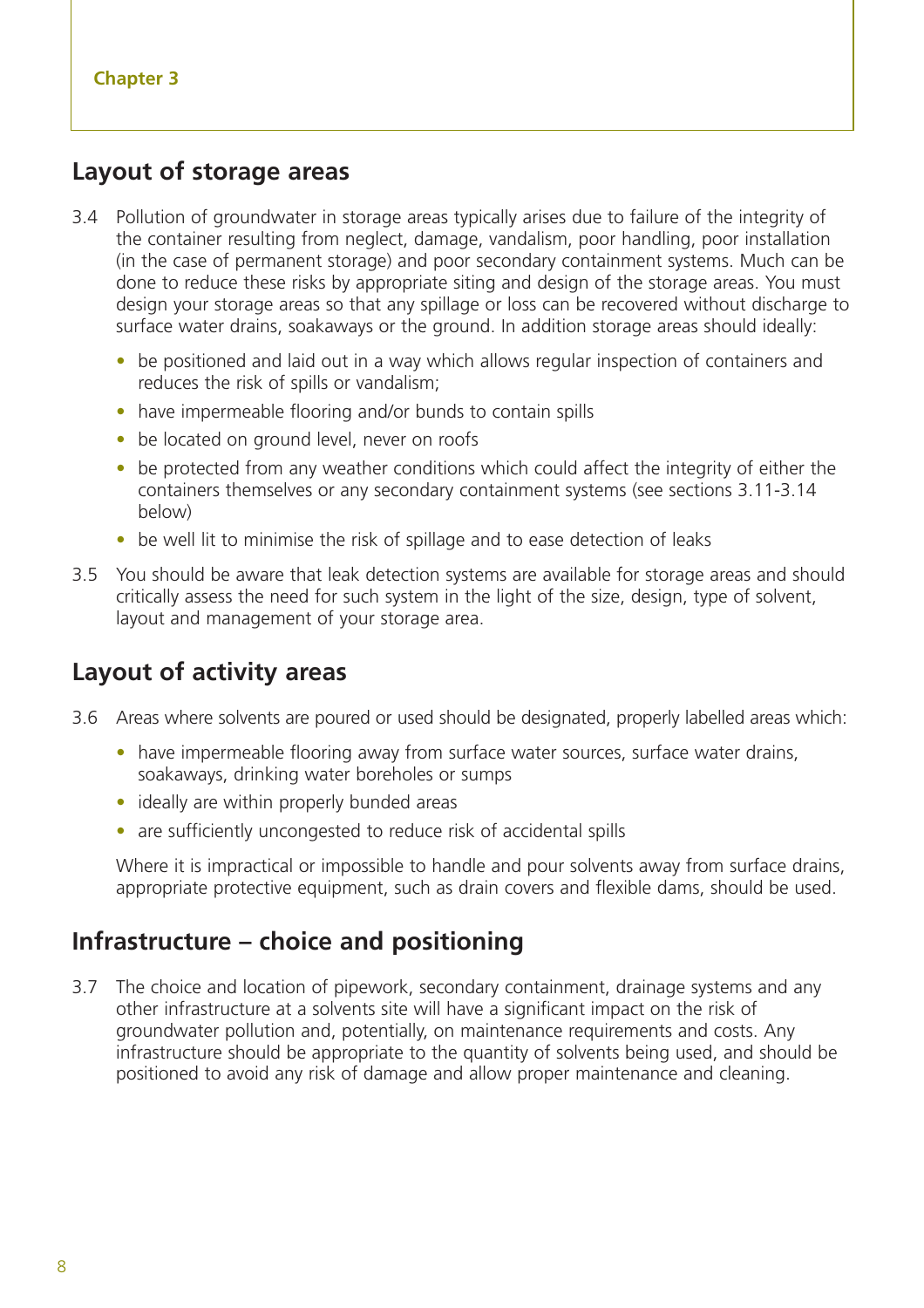#### **Layout of storage areas**

- 3.4 Pollution of groundwater in storage areas typically arises due to failure of the integrity of the container resulting from neglect, damage, vandalism, poor handling, poor installation (in the case of permanent storage) and poor secondary containment systems. Much can be done to reduce these risks by appropriate siting and design of the storage areas. You must design your storage areas so that any spillage or loss can be recovered without discharge to surface water drains, soakaways or the ground. In addition storage areas should ideally:
	- be positioned and laid out in a way which allows regular inspection of containers and reduces the risk of spills or vandalism;
	- have impermeable flooring and/or bunds to contain spills
	- be located on ground level, never on roofs
	- be protected from any weather conditions which could affect the integrity of either the containers themselves or any secondary containment systems (see sections 3.11-3.14 below)
	- be well lit to minimise the risk of spillage and to ease detection of leaks
- 3.5 You should be aware that leak detection systems are available for storage areas and should critically assess the need for such system in the light of the size, design, type of solvent, layout and management of your storage area.

### **Layout of activity areas**

- 3.6 Areas where solvents are poured or used should be designated, properly labelled areas which:
	- have impermeable flooring away from surface water sources, surface water drains, soakaways, drinking water boreholes or sumps
	- ideally are within properly bunded areas
	- are sufficiently uncongested to reduce risk of accidental spills

Where it is impractical or impossible to handle and pour solvents away from surface drains, appropriate protective equipment, such as drain covers and flexible dams, should be used.

#### **Infrastructure – choice and positioning**

3.7 The choice and location of pipework, secondary containment, drainage systems and any other infrastructure at a solvents site will have a significant impact on the risk of groundwater pollution and, potentially, on maintenance requirements and costs. Any infrastructure should be appropriate to the quantity of solvents being used, and should be positioned to avoid any risk of damage and allow proper maintenance and cleaning.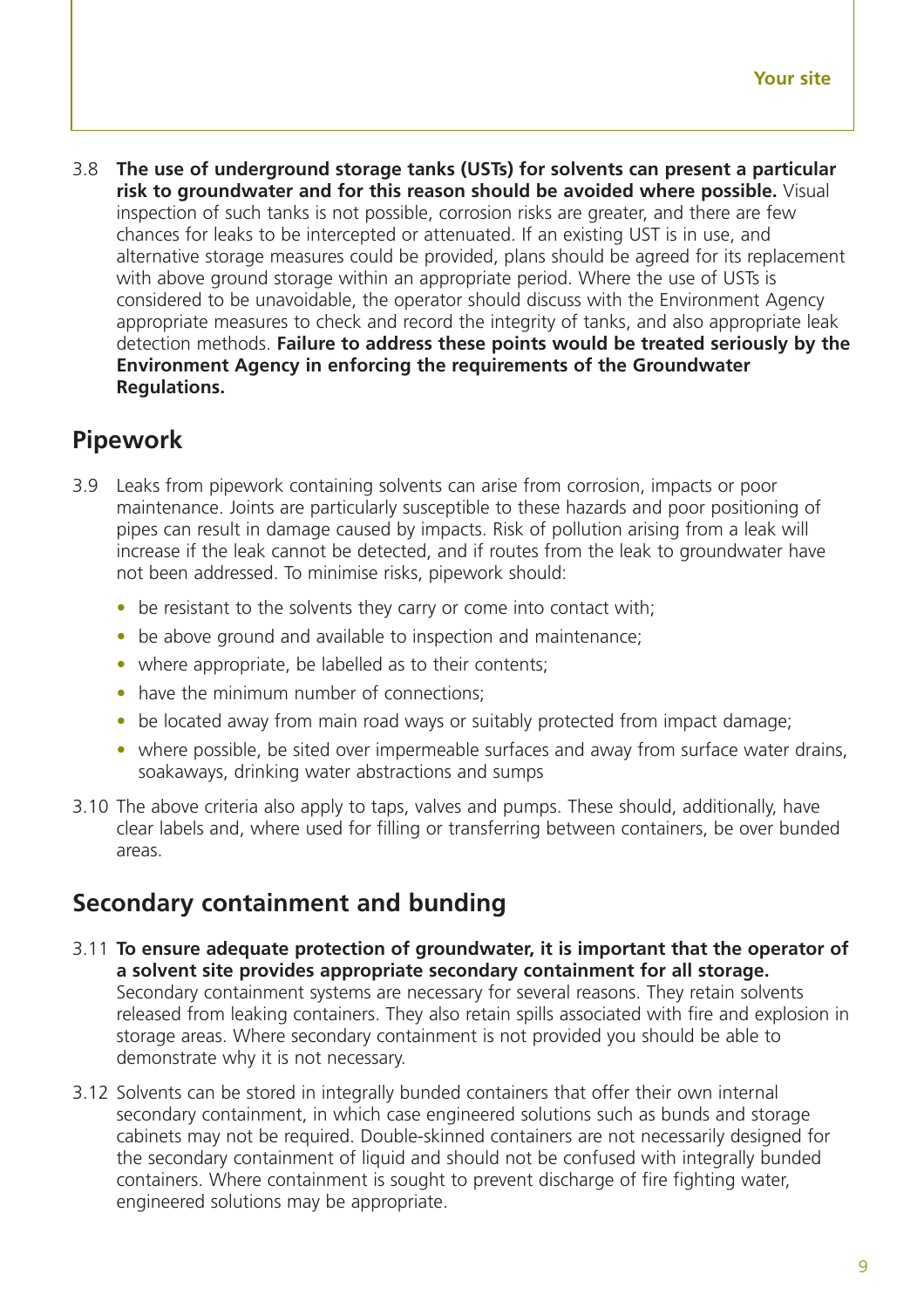3.8 **The use of underground storage tanks (USTs) for solvents can present a particular risk to groundwater and for this reason should be avoided where possible.** Visual inspection of such tanks is not possible, corrosion risks are greater, and there are few chances for leaks to be intercepted or attenuated. If an existing UST is in use, and alternative storage measures could be provided, plans should be agreed for its replacement with above ground storage within an appropriate period. Where the use of USTs is considered to be unavoidable, the operator should discuss with the Environment Agency appropriate measures to check and record the integrity of tanks, and also appropriate leak detection methods. **Failure to address these points would be treated seriously by the Environment Agency in enforcing the requirements of the Groundwater Regulations.**

## **Pipework**

- 3.9 Leaks from pipework containing solvents can arise from corrosion, impacts or poor maintenance. Joints are particularly susceptible to these hazards and poor positioning of pipes can result in damage caused by impacts. Risk of pollution arising from a leak will increase if the leak cannot be detected, and if routes from the leak to groundwater have not been addressed. To minimise risks, pipework should:
	- be resistant to the solvents they carry or come into contact with;
	- be above ground and available to inspection and maintenance;
	- where appropriate, be labelled as to their contents;
	- have the minimum number of connections;
	- be located away from main road ways or suitably protected from impact damage;
	- where possible, be sited over impermeable surfaces and away from surface water drains, soakaways, drinking water abstractions and sumps
- 3.10 The above criteria also apply to taps, valves and pumps. These should, additionally, have clear labels and, where used for filling or transferring between containers, be over bunded areas.

## **Secondary containment and bunding**

- 3.11 **To ensure adequate protection of groundwater, it is important that the operator of a solvent site provides appropriate secondary containment for all storage.** Secondary containment systems are necessary for several reasons. They retain solvents released from leaking containers. They also retain spills associated with fire and explosion in storage areas. Where secondary containment is not provided you should be able to demonstrate why it is not necessary.
- 3.12 Solvents can be stored in integrally bunded containers that offer their own internal secondary containment, in which case engineered solutions such as bunds and storage cabinets may not be required. Double-skinned containers are not necessarily designed for the secondary containment of liquid and should not be confused with integrally bunded containers. Where containment is sought to prevent discharge of fire fighting water, engineered solutions may be appropriate.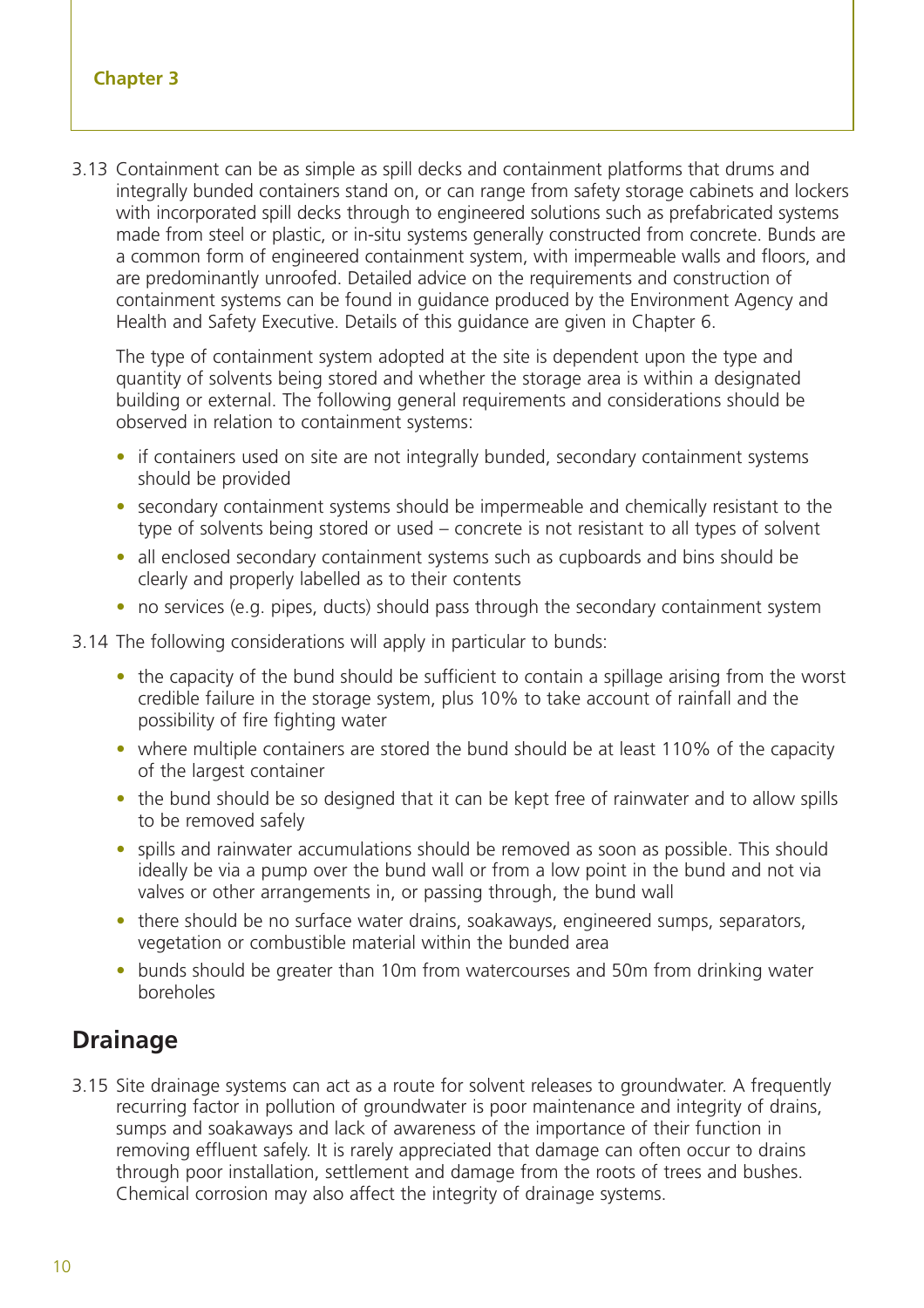3.13 Containment can be as simple as spill decks and containment platforms that drums and integrally bunded containers stand on, or can range from safety storage cabinets and lockers with incorporated spill decks through to engineered solutions such as prefabricated systems made from steel or plastic, or in-situ systems generally constructed from concrete. Bunds are a common form of engineered containment system, with impermeable walls and floors, and are predominantly unroofed. Detailed advice on the requirements and construction of containment systems can be found in guidance produced by the Environment Agency and Health and Safety Executive. Details of this guidance are given in Chapter 6.

The type of containment system adopted at the site is dependent upon the type and quantity of solvents being stored and whether the storage area is within a designated building or external. The following general requirements and considerations should be observed in relation to containment systems:

- if containers used on site are not integrally bunded, secondary containment systems should be provided
- secondary containment systems should be impermeable and chemically resistant to the type of solvents being stored or used – concrete is not resistant to all types of solvent
- all enclosed secondary containment systems such as cupboards and bins should be clearly and properly labelled as to their contents
- no services (e.g. pipes, ducts) should pass through the secondary containment system

3.14 The following considerations will apply in particular to bunds:

- the capacity of the bund should be sufficient to contain a spillage arising from the worst credible failure in the storage system, plus 10% to take account of rainfall and the possibility of fire fighting water
- where multiple containers are stored the bund should be at least 110% of the capacity of the largest container
- the bund should be so designed that it can be kept free of rainwater and to allow spills to be removed safely
- spills and rainwater accumulations should be removed as soon as possible. This should ideally be via a pump over the bund wall or from a low point in the bund and not via valves or other arrangements in, or passing through, the bund wall
- there should be no surface water drains, soakaways, engineered sumps, separators, vegetation or combustible material within the bunded area
- bunds should be greater than 10m from watercourses and 50m from drinking water boreholes

#### **Drainage**

3.15 Site drainage systems can act as a route for solvent releases to groundwater. A frequently recurring factor in pollution of groundwater is poor maintenance and integrity of drains, sumps and soakaways and lack of awareness of the importance of their function in removing effluent safely. It is rarely appreciated that damage can often occur to drains through poor installation, settlement and damage from the roots of trees and bushes. Chemical corrosion may also affect the integrity of drainage systems.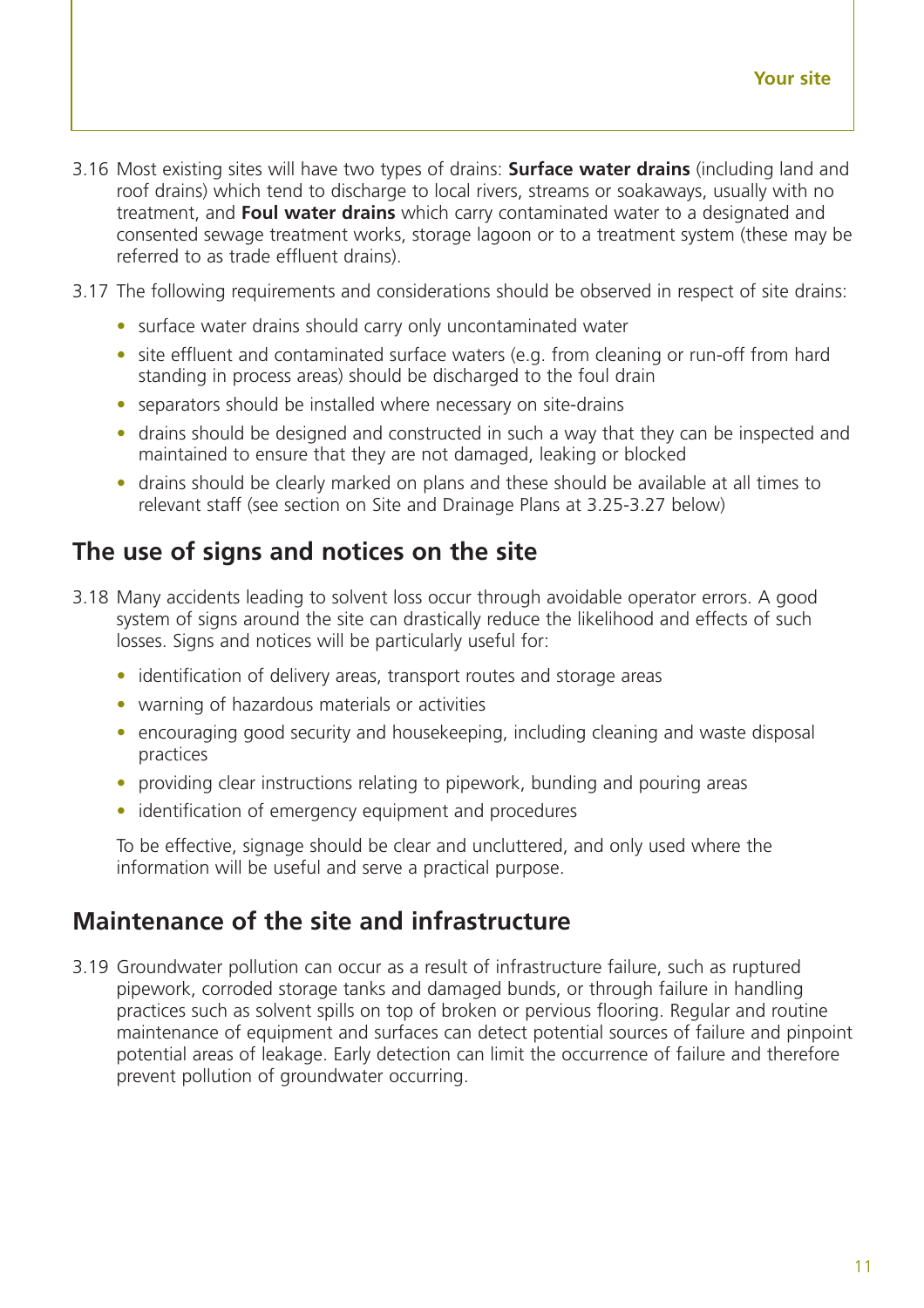- 3.16 Most existing sites will have two types of drains: **Surface water drains** (including land and roof drains) which tend to discharge to local rivers, streams or soakaways, usually with no treatment, and **Foul water drains** which carry contaminated water to a designated and consented sewage treatment works, storage lagoon or to a treatment system (these may be referred to as trade effluent drains).
- 3.17 The following requirements and considerations should be observed in respect of site drains:
	- surface water drains should carry only uncontaminated water
	- site effluent and contaminated surface waters (e.g. from cleaning or run-off from hard standing in process areas) should be discharged to the foul drain
	- separators should be installed where necessary on site-drains
	- drains should be designed and constructed in such a way that they can be inspected and maintained to ensure that they are not damaged, leaking or blocked
	- drains should be clearly marked on plans and these should be available at all times to relevant staff (see section on Site and Drainage Plans at 3.25-3.27 below)

### **The use of signs and notices on the site**

- 3.18 Many accidents leading to solvent loss occur through avoidable operator errors. A good system of signs around the site can drastically reduce the likelihood and effects of such losses. Signs and notices will be particularly useful for:
	- identification of delivery areas, transport routes and storage areas
	- warning of hazardous materials or activities
	- encouraging good security and housekeeping, including cleaning and waste disposal practices
	- providing clear instructions relating to pipework, bunding and pouring areas
	- identification of emergency equipment and procedures

To be effective, signage should be clear and uncluttered, and only used where the information will be useful and serve a practical purpose.

### **Maintenance of the site and infrastructure**

3.19 Groundwater pollution can occur as a result of infrastructure failure, such as ruptured pipework, corroded storage tanks and damaged bunds, or through failure in handling practices such as solvent spills on top of broken or pervious flooring. Regular and routine maintenance of equipment and surfaces can detect potential sources of failure and pinpoint potential areas of leakage. Early detection can limit the occurrence of failure and therefore prevent pollution of groundwater occurring.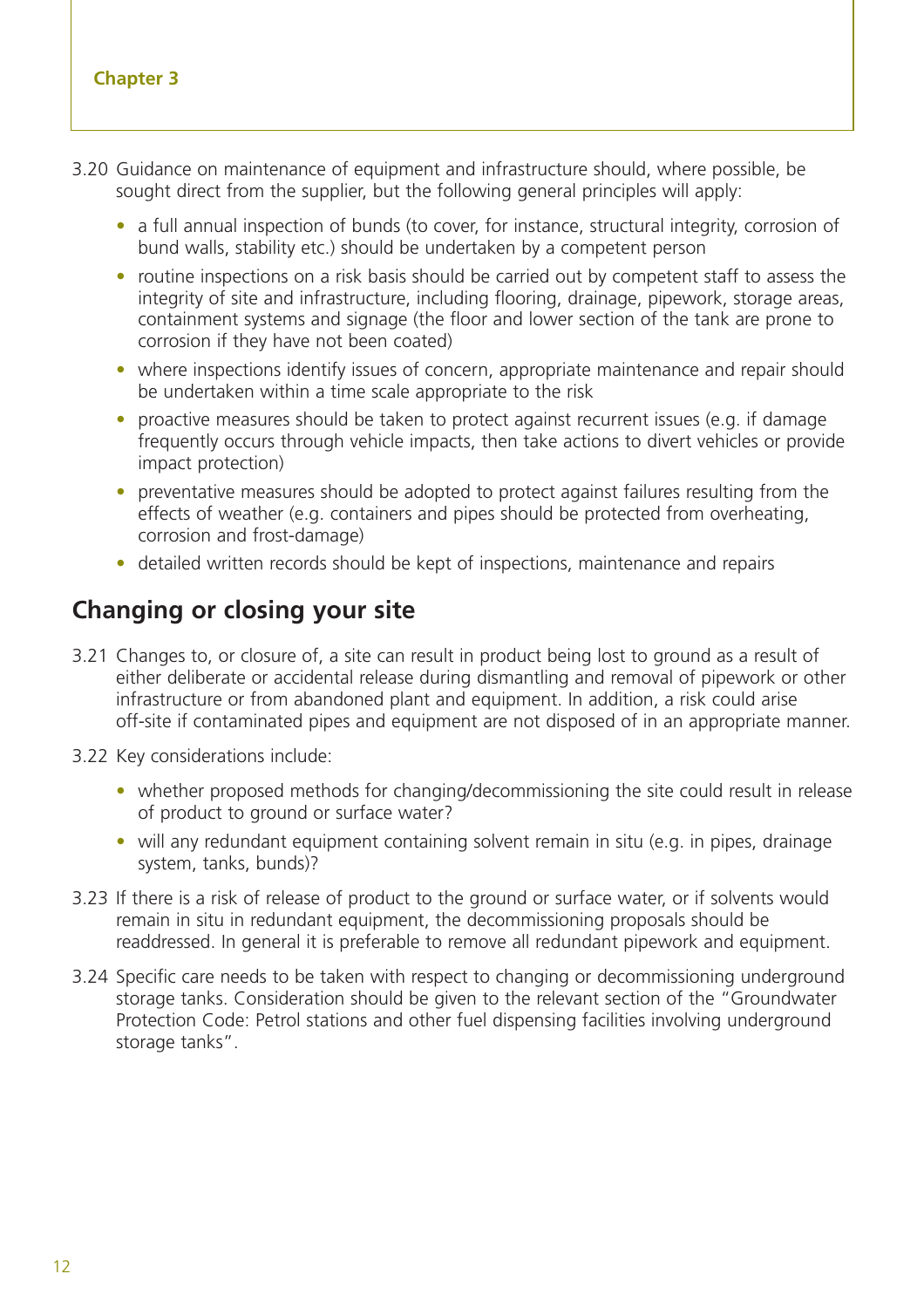#### **Chapter 3**

- 3.20 Guidance on maintenance of equipment and infrastructure should, where possible, be sought direct from the supplier, but the following general principles will apply:
	- a full annual inspection of bunds (to cover, for instance, structural integrity, corrosion of bund walls, stability etc.) should be undertaken by a competent person
	- routine inspections on a risk basis should be carried out by competent staff to assess the integrity of site and infrastructure, including flooring, drainage, pipework, storage areas, containment systems and signage (the floor and lower section of the tank are prone to corrosion if they have not been coated)
	- where inspections identify issues of concern, appropriate maintenance and repair should be undertaken within a time scale appropriate to the risk
	- proactive measures should be taken to protect against recurrent issues (e.g. if damage frequently occurs through vehicle impacts, then take actions to divert vehicles or provide impact protection)
	- preventative measures should be adopted to protect against failures resulting from the effects of weather (e.g. containers and pipes should be protected from overheating, corrosion and frost-damage)
	- detailed written records should be kept of inspections, maintenance and repairs

### **Changing or closing your site**

- 3.21 Changes to, or closure of, a site can result in product being lost to ground as a result of either deliberate or accidental release during dismantling and removal of pipework or other infrastructure or from abandoned plant and equipment. In addition, a risk could arise off-site if contaminated pipes and equipment are not disposed of in an appropriate manner.
- 3.22 Key considerations include:
	- whether proposed methods for changing/decommissioning the site could result in release of product to ground or surface water?
	- will any redundant equipment containing solvent remain in situ (e.g. in pipes, drainage system, tanks, bunds)?
- 3.23 If there is a risk of release of product to the ground or surface water, or if solvents would remain in situ in redundant equipment, the decommissioning proposals should be readdressed. In general it is preferable to remove all redundant pipework and equipment.
- 3.24 Specific care needs to be taken with respect to changing or decommissioning underground storage tanks. Consideration should be given to the relevant section of the "Groundwater Protection Code: Petrol stations and other fuel dispensing facilities involving underground storage tanks".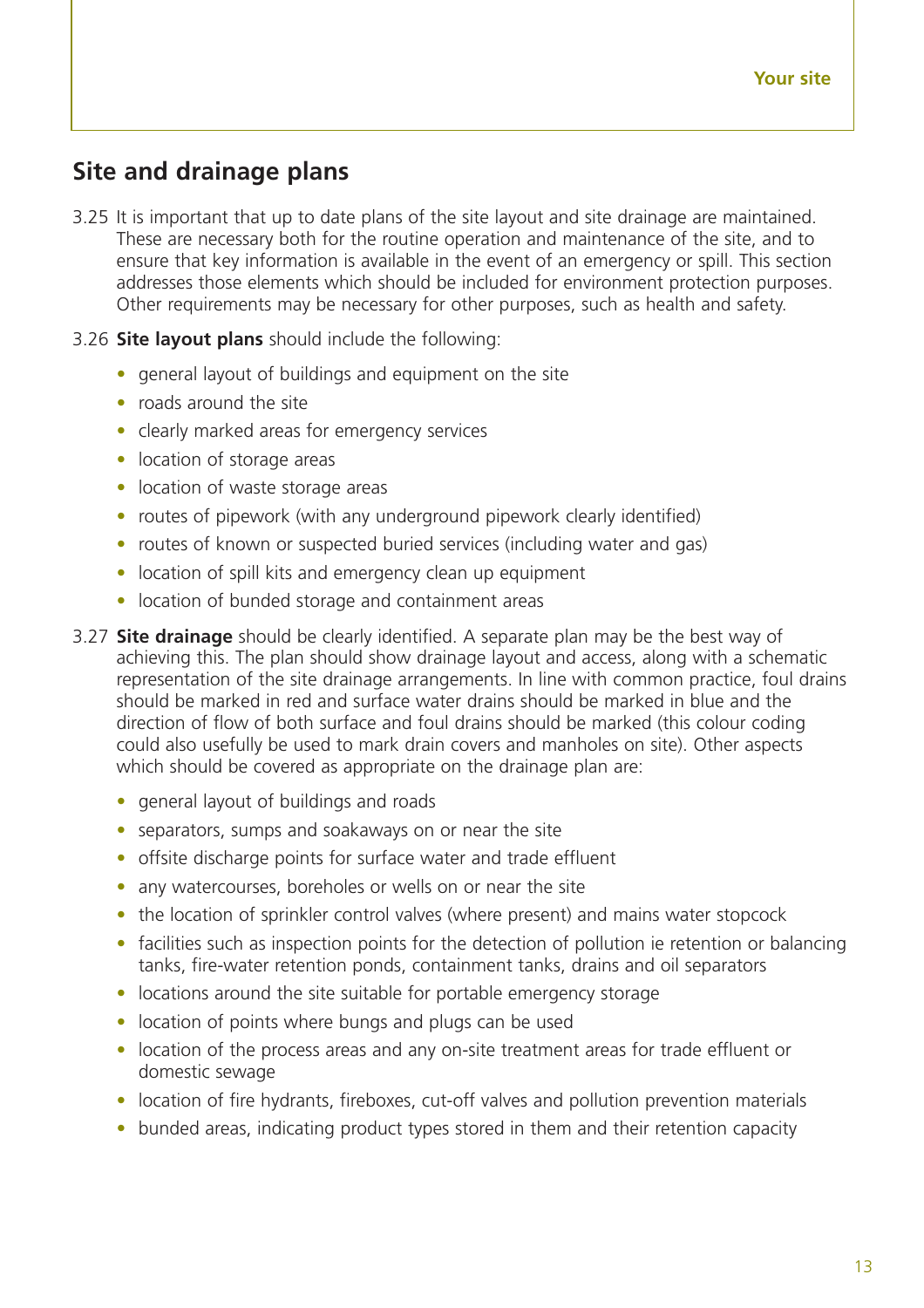## **Site and drainage plans**

- 3.25 It is important that up to date plans of the site layout and site drainage are maintained. These are necessary both for the routine operation and maintenance of the site, and to ensure that key information is available in the event of an emergency or spill. This section addresses those elements which should be included for environment protection purposes. Other requirements may be necessary for other purposes, such as health and safety.
- 3.26 **Site layout plans** should include the following:
	- general layout of buildings and equipment on the site
	- roads around the site
	- clearly marked areas for emergency services
	- location of storage areas
	- location of waste storage areas
	- routes of pipework (with any underground pipework clearly identified)
	- routes of known or suspected buried services (including water and gas)
	- location of spill kits and emergency clean up equipment
	- location of bunded storage and containment areas
- 3.27 **Site drainage** should be clearly identified. A separate plan may be the best way of achieving this. The plan should show drainage layout and access, along with a schematic representation of the site drainage arrangements. In line with common practice, foul drains should be marked in red and surface water drains should be marked in blue and the direction of flow of both surface and foul drains should be marked (this colour coding could also usefully be used to mark drain covers and manholes on site). Other aspects which should be covered as appropriate on the drainage plan are:
	- general layout of buildings and roads
	- separators, sumps and soakaways on or near the site
	- offsite discharge points for surface water and trade effluent
	- any watercourses, boreholes or wells on or near the site
	- the location of sprinkler control valves (where present) and mains water stopcock
	- facilities such as inspection points for the detection of pollution ie retention or balancing tanks, fire-water retention ponds, containment tanks, drains and oil separators
	- locations around the site suitable for portable emergency storage
	- location of points where bungs and plugs can be used
	- location of the process areas and any on-site treatment areas for trade effluent or domestic sewage
	- location of fire hydrants, fireboxes, cut-off valves and pollution prevention materials
	- bunded areas, indicating product types stored in them and their retention capacity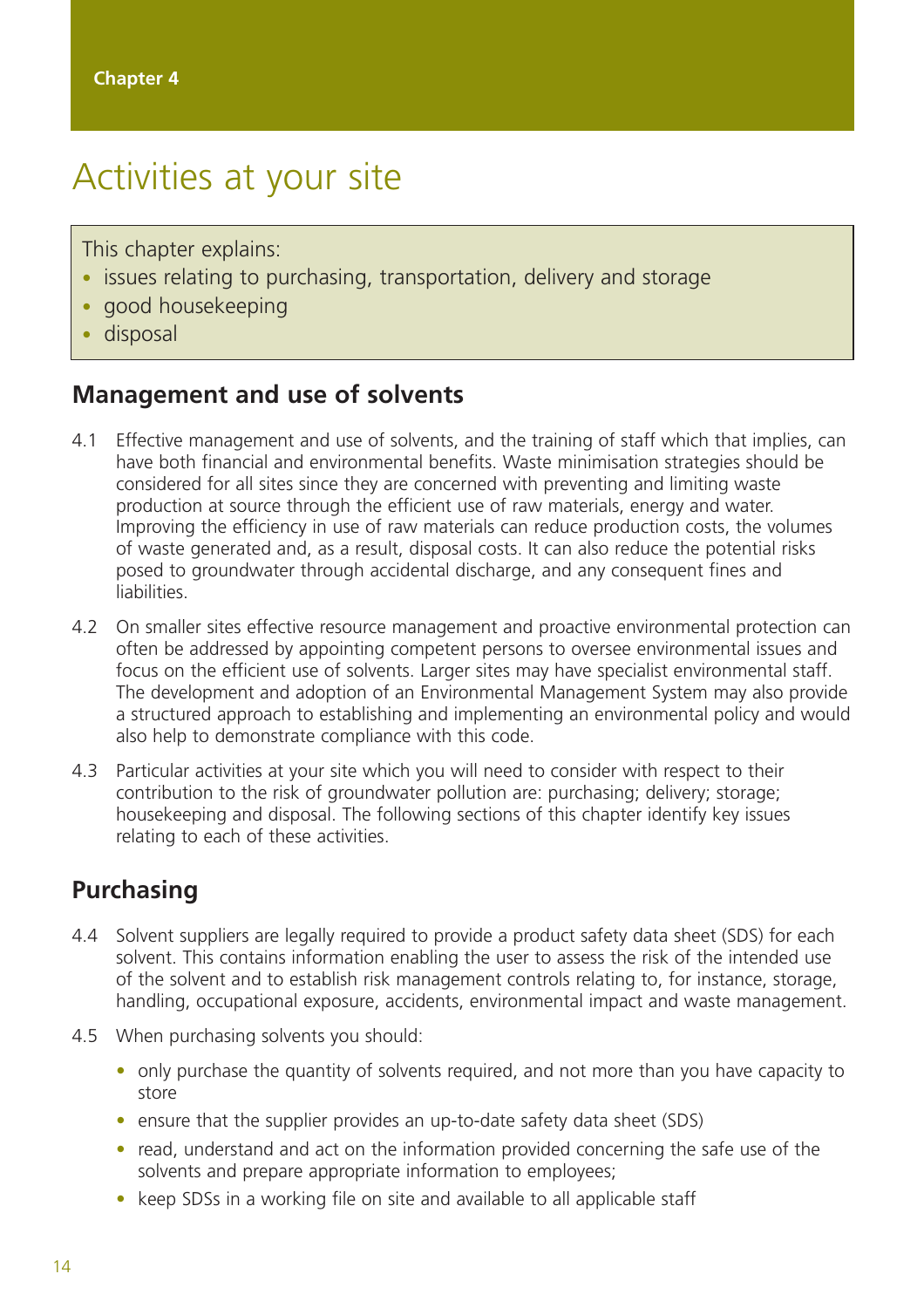## Activities at your site

This chapter explains:

- issues relating to purchasing, transportation, delivery and storage
- good housekeeping
- disposal

#### **Management and use of solvents**

- 4.1 Effective management and use of solvents, and the training of staff which that implies, can have both financial and environmental benefits. Waste minimisation strategies should be considered for all sites since they are concerned with preventing and limiting waste production at source through the efficient use of raw materials, energy and water. Improving the efficiency in use of raw materials can reduce production costs, the volumes of waste generated and, as a result, disposal costs. It can also reduce the potential risks posed to groundwater through accidental discharge, and any consequent fines and liabilities.
- 4.2 On smaller sites effective resource management and proactive environmental protection can often be addressed by appointing competent persons to oversee environmental issues and focus on the efficient use of solvents. Larger sites may have specialist environmental staff. The development and adoption of an Environmental Management System may also provide a structured approach to establishing and implementing an environmental policy and would also help to demonstrate compliance with this code.
- 4.3 Particular activities at your site which you will need to consider with respect to their contribution to the risk of groundwater pollution are: purchasing; delivery; storage; housekeeping and disposal. The following sections of this chapter identify key issues relating to each of these activities.

## **Purchasing**

- 4.4 Solvent suppliers are legally required to provide a product safety data sheet (SDS) for each solvent. This contains information enabling the user to assess the risk of the intended use of the solvent and to establish risk management controls relating to, for instance, storage, handling, occupational exposure, accidents, environmental impact and waste management.
- 4.5 When purchasing solvents you should:
	- only purchase the quantity of solvents required, and not more than you have capacity to store
	- ensure that the supplier provides an up-to-date safety data sheet (SDS)
	- read, understand and act on the information provided concerning the safe use of the solvents and prepare appropriate information to employees;
	- keep SDSs in a working file on site and available to all applicable staff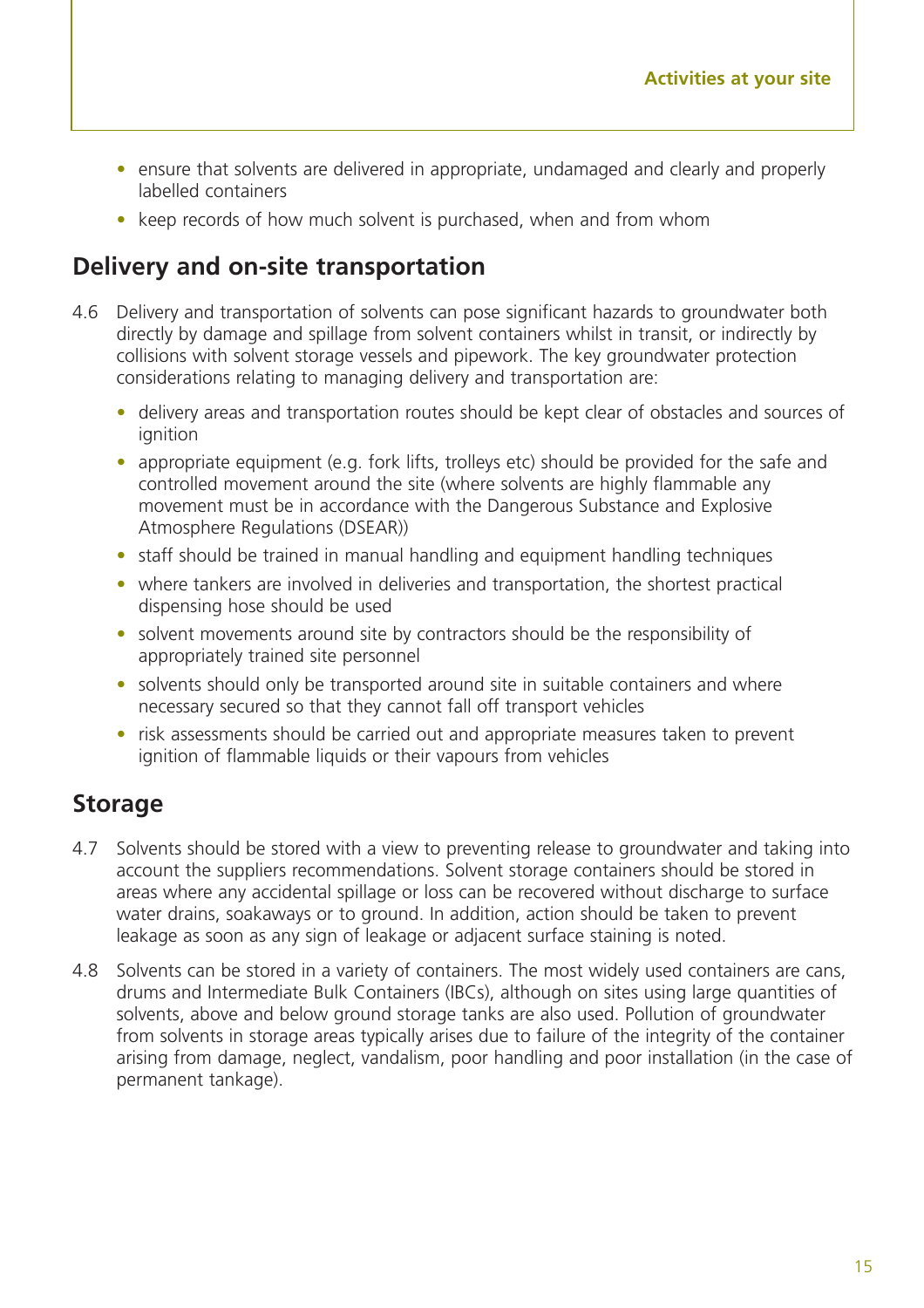- ensure that solvents are delivered in appropriate, undamaged and clearly and properly labelled containers
- keep records of how much solvent is purchased, when and from whom

#### **Delivery and on-site transportation**

- 4.6 Delivery and transportation of solvents can pose significant hazards to groundwater both directly by damage and spillage from solvent containers whilst in transit, or indirectly by collisions with solvent storage vessels and pipework. The key groundwater protection considerations relating to managing delivery and transportation are:
	- delivery areas and transportation routes should be kept clear of obstacles and sources of ignition
	- appropriate equipment (e.g. fork lifts, trolleys etc) should be provided for the safe and controlled movement around the site (where solvents are highly flammable any movement must be in accordance with the Dangerous Substance and Explosive Atmosphere Regulations (DSEAR))
	- staff should be trained in manual handling and equipment handling techniques
	- where tankers are involved in deliveries and transportation, the shortest practical dispensing hose should be used
	- solvent movements around site by contractors should be the responsibility of appropriately trained site personnel
	- solvents should only be transported around site in suitable containers and where necessary secured so that they cannot fall off transport vehicles
	- risk assessments should be carried out and appropriate measures taken to prevent ignition of flammable liquids or their vapours from vehicles

#### **Storage**

- 4.7 Solvents should be stored with a view to preventing release to groundwater and taking into account the suppliers recommendations. Solvent storage containers should be stored in areas where any accidental spillage or loss can be recovered without discharge to surface water drains, soakaways or to ground. In addition, action should be taken to prevent leakage as soon as any sign of leakage or adjacent surface staining is noted.
- 4.8 Solvents can be stored in a variety of containers. The most widely used containers are cans, drums and Intermediate Bulk Containers (IBCs), although on sites using large quantities of solvents, above and below ground storage tanks are also used. Pollution of groundwater from solvents in storage areas typically arises due to failure of the integrity of the container arising from damage, neglect, vandalism, poor handling and poor installation (in the case of permanent tankage).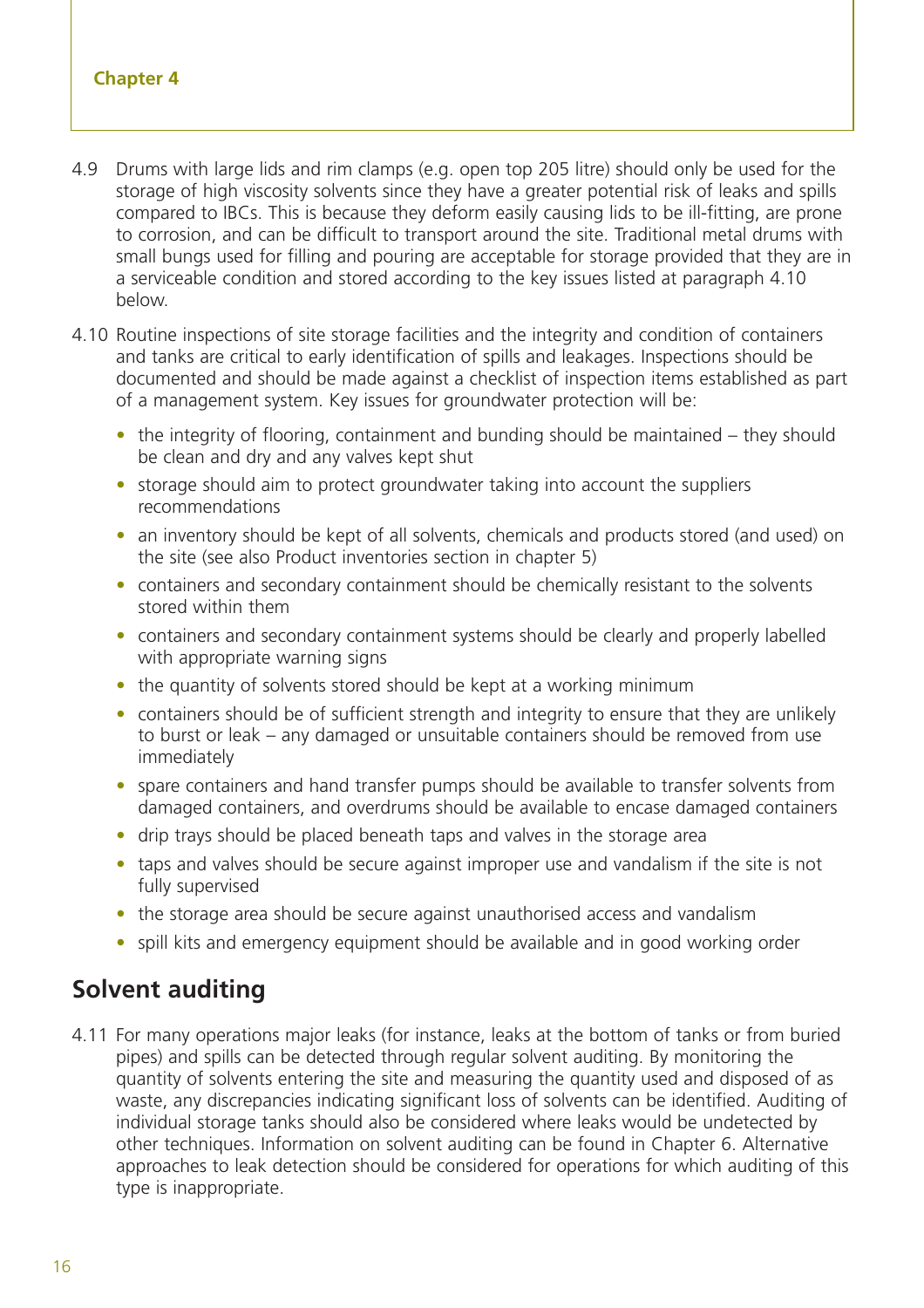- 4.9 Drums with large lids and rim clamps (e.g. open top 205 litre) should only be used for the storage of high viscosity solvents since they have a greater potential risk of leaks and spills compared to IBCs. This is because they deform easily causing lids to be ill-fitting, are prone to corrosion, and can be difficult to transport around the site. Traditional metal drums with small bungs used for filling and pouring are acceptable for storage provided that they are in a serviceable condition and stored according to the key issues listed at paragraph 4.10 below.
- 4.10 Routine inspections of site storage facilities and the integrity and condition of containers and tanks are critical to early identification of spills and leakages. Inspections should be documented and should be made against a checklist of inspection items established as part of a management system. Key issues for groundwater protection will be:
	- the integrity of flooring, containment and bunding should be maintained they should be clean and dry and any valves kept shut
	- storage should aim to protect groundwater taking into account the suppliers recommendations
	- an inventory should be kept of all solvents, chemicals and products stored (and used) on the site (see also Product inventories section in chapter 5)
	- containers and secondary containment should be chemically resistant to the solvents stored within them
	- containers and secondary containment systems should be clearly and properly labelled with appropriate warning signs
	- the quantity of solvents stored should be kept at a working minimum
	- containers should be of sufficient strength and integrity to ensure that they are unlikely to burst or leak – any damaged or unsuitable containers should be removed from use immediately
	- spare containers and hand transfer pumps should be available to transfer solvents from damaged containers, and overdrums should be available to encase damaged containers
	- drip trays should be placed beneath taps and valves in the storage area
	- taps and valves should be secure against improper use and vandalism if the site is not fully supervised
	- the storage area should be secure against unauthorised access and vandalism
	- spill kits and emergency equipment should be available and in good working order

#### **Solvent auditing**

4.11 For many operations major leaks (for instance, leaks at the bottom of tanks or from buried pipes) and spills can be detected through regular solvent auditing. By monitoring the quantity of solvents entering the site and measuring the quantity used and disposed of as waste, any discrepancies indicating significant loss of solvents can be identified. Auditing of individual storage tanks should also be considered where leaks would be undetected by other techniques. Information on solvent auditing can be found in Chapter 6. Alternative approaches to leak detection should be considered for operations for which auditing of this type is inappropriate.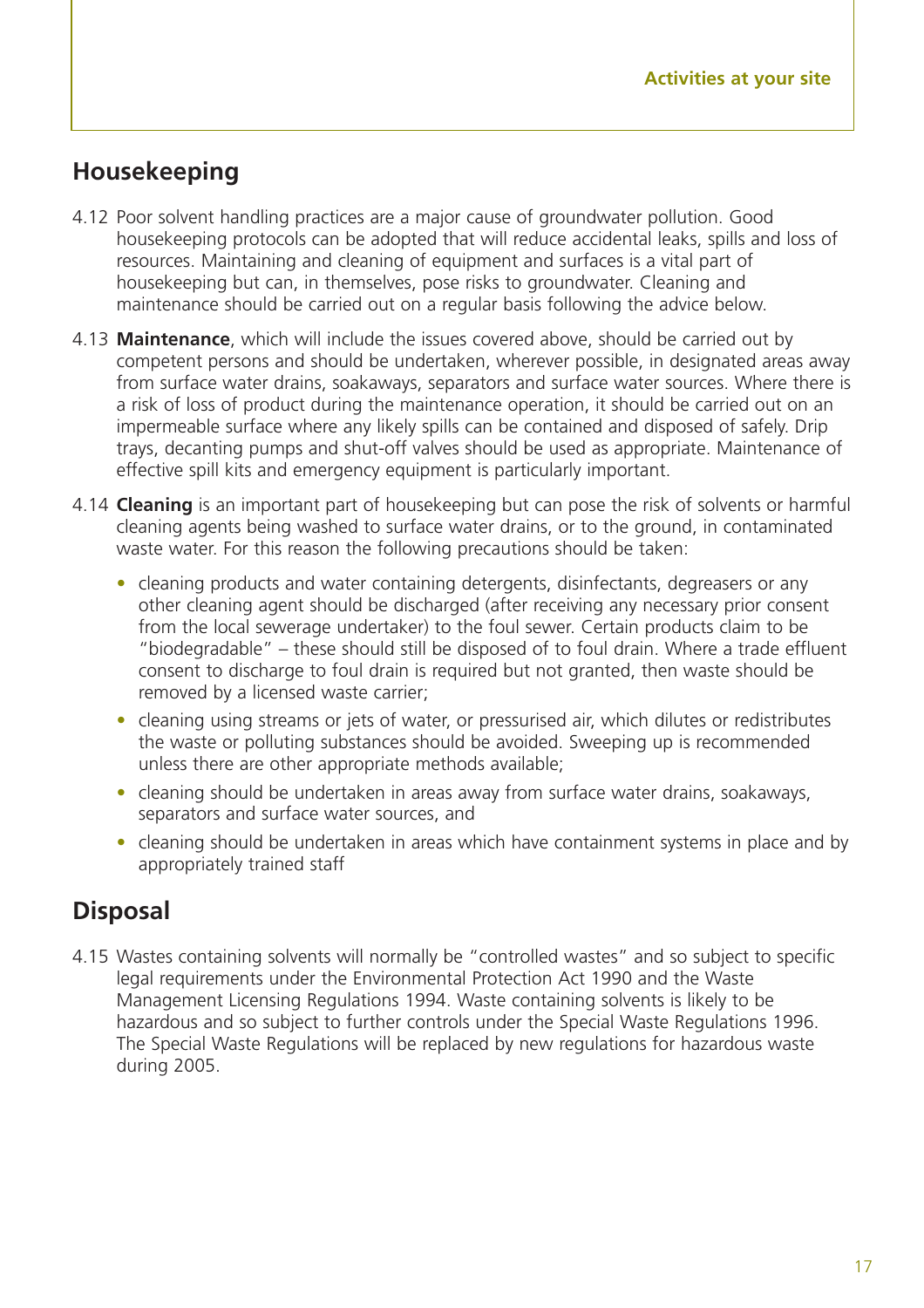### **Housekeeping**

- 4.12 Poor solvent handling practices are a major cause of groundwater pollution. Good housekeeping protocols can be adopted that will reduce accidental leaks, spills and loss of resources. Maintaining and cleaning of equipment and surfaces is a vital part of housekeeping but can, in themselves, pose risks to groundwater. Cleaning and maintenance should be carried out on a regular basis following the advice below.
- 4.13 **Maintenance**, which will include the issues covered above, should be carried out by competent persons and should be undertaken, wherever possible, in designated areas away from surface water drains, soakaways, separators and surface water sources. Where there is a risk of loss of product during the maintenance operation, it should be carried out on an impermeable surface where any likely spills can be contained and disposed of safely. Drip trays, decanting pumps and shut-off valves should be used as appropriate. Maintenance of effective spill kits and emergency equipment is particularly important.
- 4.14 **Cleaning** is an important part of housekeeping but can pose the risk of solvents or harmful cleaning agents being washed to surface water drains, or to the ground, in contaminated waste water. For this reason the following precautions should be taken:
	- cleaning products and water containing detergents, disinfectants, degreasers or any other cleaning agent should be discharged (after receiving any necessary prior consent from the local sewerage undertaker) to the foul sewer. Certain products claim to be "biodegradable" – these should still be disposed of to foul drain. Where a trade effluent consent to discharge to foul drain is required but not granted, then waste should be removed by a licensed waste carrier;
	- cleaning using streams or jets of water, or pressurised air, which dilutes or redistributes the waste or polluting substances should be avoided. Sweeping up is recommended unless there are other appropriate methods available;
	- cleaning should be undertaken in areas away from surface water drains, soakaways, separators and surface water sources, and
	- cleaning should be undertaken in areas which have containment systems in place and by appropriately trained staff

### **Disposal**

4.15 Wastes containing solvents will normally be "controlled wastes" and so subject to specific legal requirements under the Environmental Protection Act 1990 and the Waste Management Licensing Regulations 1994. Waste containing solvents is likely to be hazardous and so subject to further controls under the Special Waste Regulations 1996. The Special Waste Regulations will be replaced by new regulations for hazardous waste during 2005.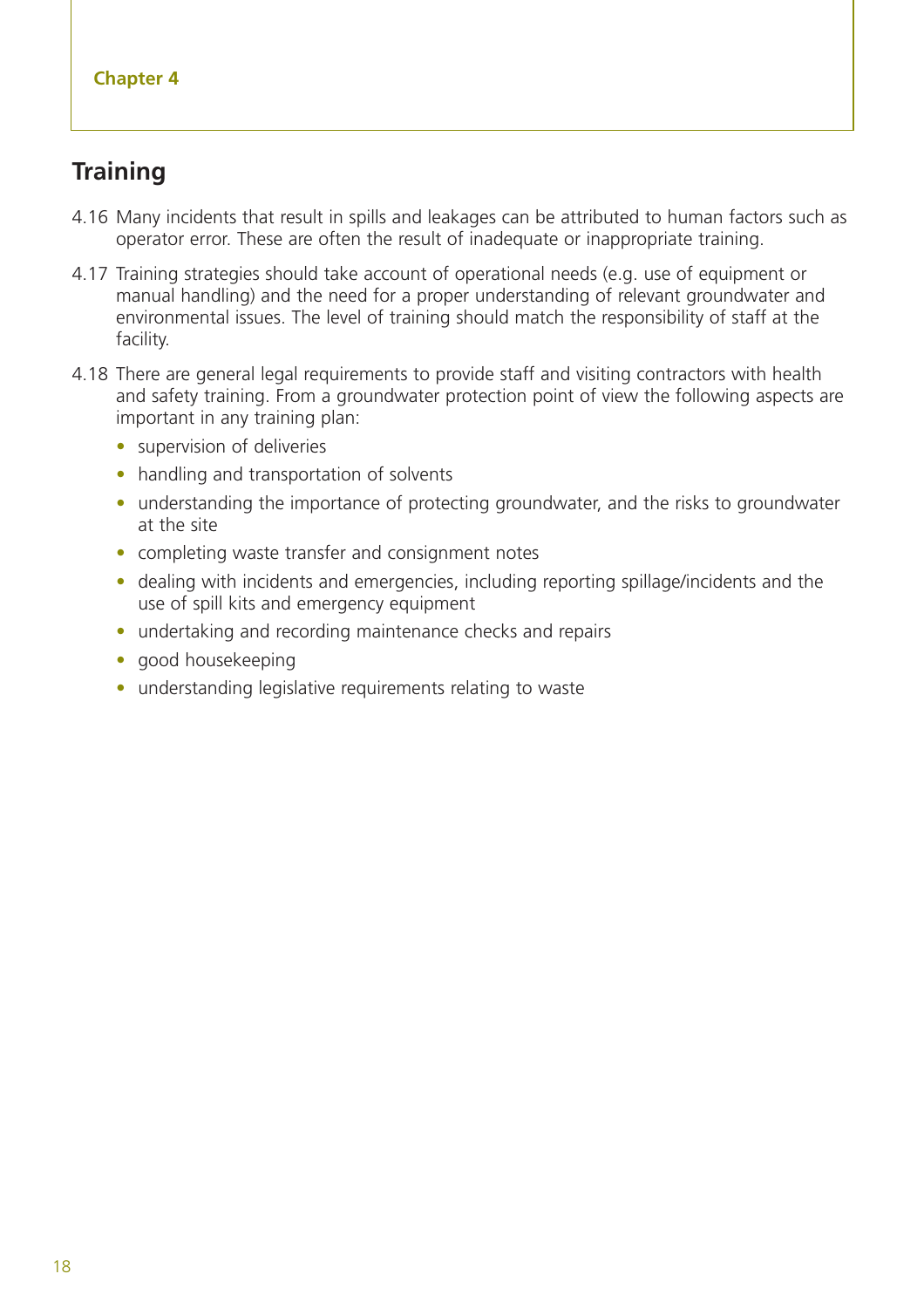## **Training**

- 4.16 Many incidents that result in spills and leakages can be attributed to human factors such as operator error. These are often the result of inadequate or inappropriate training.
- 4.17 Training strategies should take account of operational needs (e.g. use of equipment or manual handling) and the need for a proper understanding of relevant groundwater and environmental issues. The level of training should match the responsibility of staff at the facility.
- 4.18 There are general legal requirements to provide staff and visiting contractors with health and safety training. From a groundwater protection point of view the following aspects are important in any training plan:
	- supervision of deliveries
	- handling and transportation of solvents
	- understanding the importance of protecting groundwater, and the risks to groundwater at the site
	- completing waste transfer and consignment notes
	- dealing with incidents and emergencies, including reporting spillage/incidents and the use of spill kits and emergency equipment
	- undertaking and recording maintenance checks and repairs
	- good housekeeping
	- understanding legislative requirements relating to waste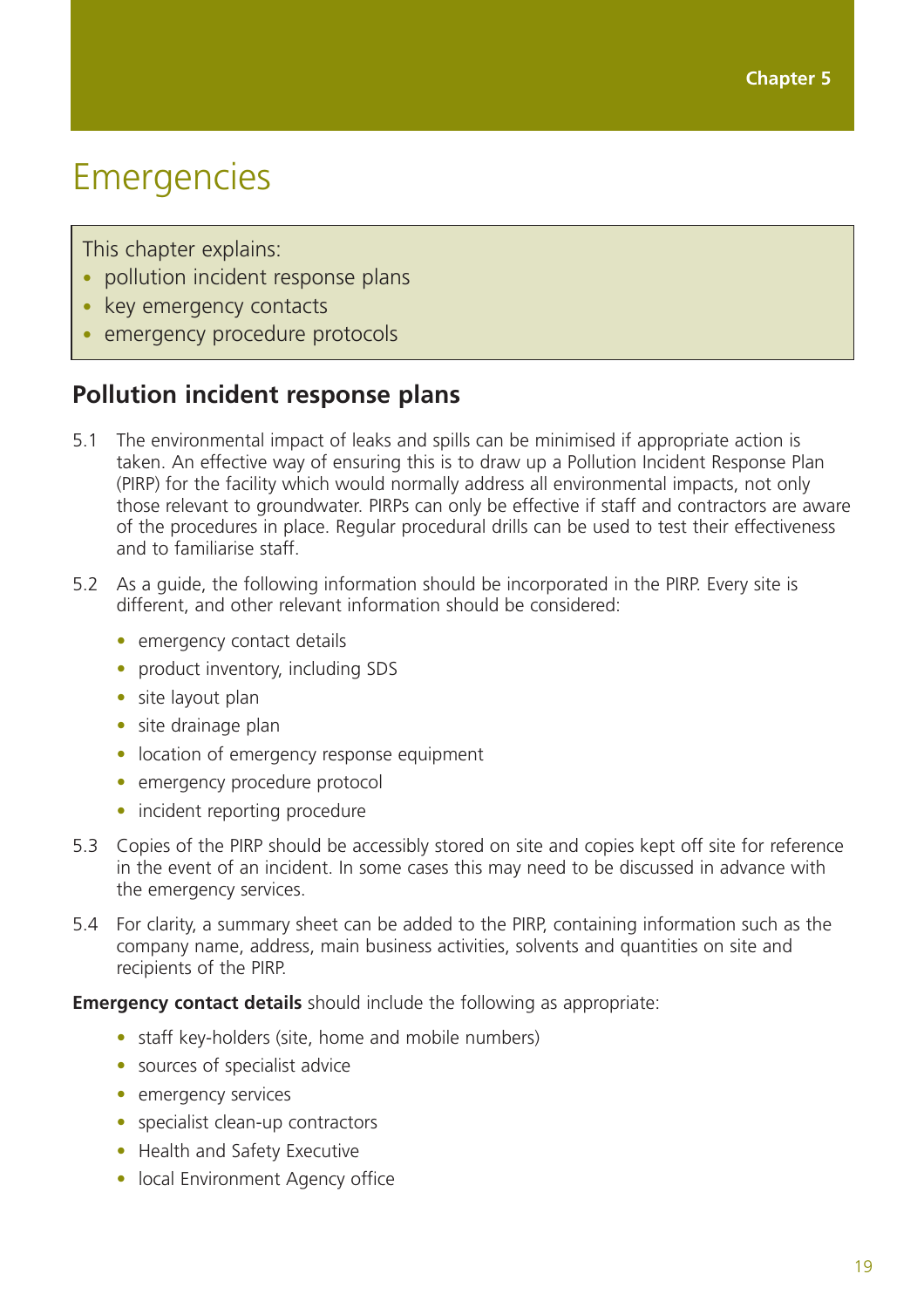## Emergencies

This chapter explains:

- pollution incident response plans
- key emergency contacts
- emergency procedure protocols

## **Pollution incident response plans**

- 5.1 The environmental impact of leaks and spills can be minimised if appropriate action is taken. An effective way of ensuring this is to draw up a Pollution Incident Response Plan (PIRP) for the facility which would normally address all environmental impacts, not only those relevant to groundwater. PIRPs can only be effective if staff and contractors are aware of the procedures in place. Regular procedural drills can be used to test their effectiveness and to familiarise staff.
- 5.2 As a guide, the following information should be incorporated in the PIRP. Every site is different, and other relevant information should be considered:
	- emergency contact details
	- product inventory, including SDS
	- site layout plan
	- site drainage plan
	- location of emergency response equipment
	- emergency procedure protocol
	- incident reporting procedure
- 5.3 Copies of the PIRP should be accessibly stored on site and copies kept off site for reference in the event of an incident. In some cases this may need to be discussed in advance with the emergency services.
- 5.4 For clarity, a summary sheet can be added to the PIRP, containing information such as the company name, address, main business activities, solvents and quantities on site and recipients of the PIRP.

**Emergency contact details** should include the following as appropriate:

- staff key-holders (site, home and mobile numbers)
- sources of specialist advice
- emergency services
- specialist clean-up contractors
- Health and Safety Executive
- local Environment Agency office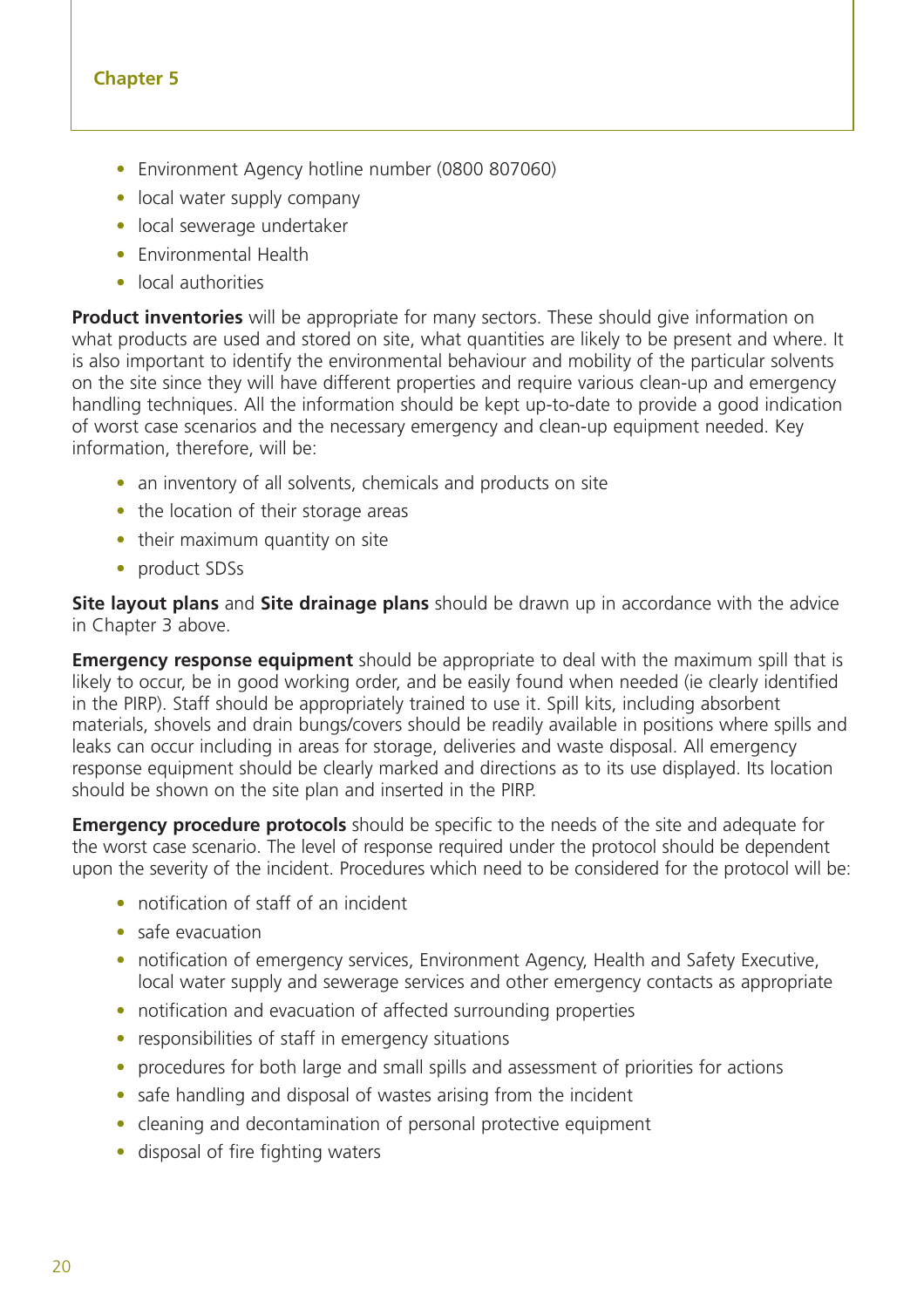- Environment Agency hotline number (0800 807060)
- local water supply company
- local sewerage undertaker
- Environmental Health
- local authorities

**Product inventories** will be appropriate for many sectors. These should give information on what products are used and stored on site, what quantities are likely to be present and where. It is also important to identify the environmental behaviour and mobility of the particular solvents on the site since they will have different properties and require various clean-up and emergency handling techniques. All the information should be kept up-to-date to provide a good indication of worst case scenarios and the necessary emergency and clean-up equipment needed. Key information, therefore, will be:

- an inventory of all solvents, chemicals and products on site
- the location of their storage areas
- their maximum quantity on site
- product SDSs

**Site layout plans** and **Site drainage plans** should be drawn up in accordance with the advice in Chapter 3 above.

**Emergency response equipment** should be appropriate to deal with the maximum spill that is likely to occur, be in good working order, and be easily found when needed (ie clearly identified in the PIRP). Staff should be appropriately trained to use it. Spill kits, including absorbent materials, shovels and drain bungs/covers should be readily available in positions where spills and leaks can occur including in areas for storage, deliveries and waste disposal. All emergency response equipment should be clearly marked and directions as to its use displayed. Its location should be shown on the site plan and inserted in the PIRP.

**Emergency procedure protocols** should be specific to the needs of the site and adequate for the worst case scenario. The level of response required under the protocol should be dependent upon the severity of the incident. Procedures which need to be considered for the protocol will be:

- notification of staff of an incident
- safe evacuation
- notification of emergency services, Environment Agency, Health and Safety Executive, local water supply and sewerage services and other emergency contacts as appropriate
- notification and evacuation of affected surrounding properties
- responsibilities of staff in emergency situations
- procedures for both large and small spills and assessment of priorities for actions
- safe handling and disposal of wastes arising from the incident
- cleaning and decontamination of personal protective equipment
- disposal of fire fighting waters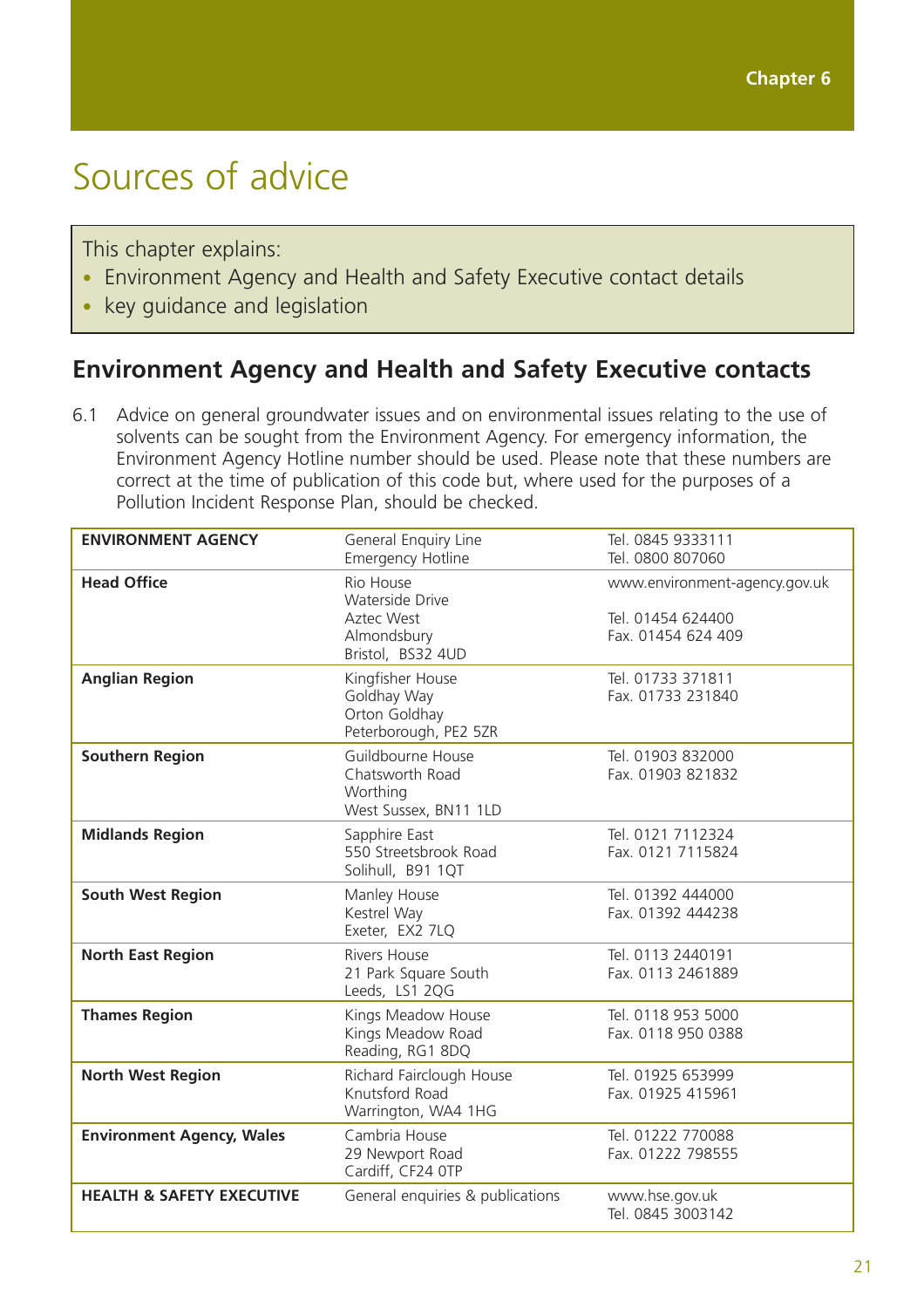## Sources of advice

This chapter explains:

- Environment Agency and Health and Safety Executive contact details
- key guidance and legislation

### **Environment Agency and Health and Safety Executive contacts**

6.1 Advice on general groundwater issues and on environmental issues relating to the use of solvents can be sought from the Environment Agency. For emergency information, the Environment Agency Hotline number should be used. Please note that these numbers are correct at the time of publication of this code but, where used for the purposes of a Pollution Incident Response Plan, should be checked.

| <b>ENVIRONMENT AGENCY</b>            | General Enquiry Line                       | Tel. 0845 9333111<br>Tel. 0800 807060  |
|--------------------------------------|--------------------------------------------|----------------------------------------|
|                                      | <b>Emergency Hotline</b>                   |                                        |
| <b>Head Office</b>                   | Rio House<br><b>Waterside Drive</b>        | www.environment-agency.gov.uk          |
|                                      | Aztec West                                 | Tel. 01454 624400                      |
|                                      | Almondsbury                                | Fax. 01454 624 409                     |
|                                      | Bristol, BS32 4UD                          |                                        |
| <b>Anglian Region</b>                | Kingfisher House<br>Goldhay Way            | Tel. 01733 371811<br>Fax. 01733 231840 |
|                                      | Orton Goldhay                              |                                        |
|                                      | Peterborough, PE2 5ZR                      |                                        |
| <b>Southern Region</b>               | Guildbourne House                          | Tel. 01903 832000                      |
|                                      | Chatsworth Road                            | Fax. 01903 821832                      |
|                                      | Worthing<br>West Sussex, BN11 1LD          |                                        |
| <b>Midlands Region</b>               | Sapphire East                              | Tel. 0121 7112324                      |
|                                      | 550 Streetsbrook Road                      | Fax. 0121 7115824                      |
|                                      | Solihull, B91 1QT                          |                                        |
| <b>South West Region</b>             | Manley House                               | Tel. 01392 444000                      |
|                                      | Kestrel Way                                | Fax. 01392 444238                      |
|                                      | Exeter, EX2 7LQ                            |                                        |
| <b>North East Region</b>             | Rivers House<br>21 Park Square South       | Tel. 0113 2440191<br>Fax. 0113 2461889 |
|                                      | Leeds, LS1 2QG                             |                                        |
| <b>Thames Region</b>                 | Kings Meadow House                         | Tel. 0118 953 5000                     |
|                                      | Kings Meadow Road                          | Fax. 0118 950 0388                     |
|                                      | Reading, RG1 8DQ                           |                                        |
| <b>North West Region</b>             | Richard Fairclough House<br>Knutsford Road | Tel. 01925 653999<br>Fax. 01925 415961 |
|                                      | Warrington, WA4 1HG                        |                                        |
| <b>Environment Agency, Wales</b>     | Cambria House                              | Tel. 01222 770088                      |
|                                      | 29 Newport Road                            | Fax. 01222 798555                      |
|                                      | Cardiff, CF24 OTP                          |                                        |
| <b>HEALTH &amp; SAFETY EXECUTIVE</b> | General enquiries & publications           | www.hse.gov.uk                         |
|                                      |                                            | Tel. 0845 3003142                      |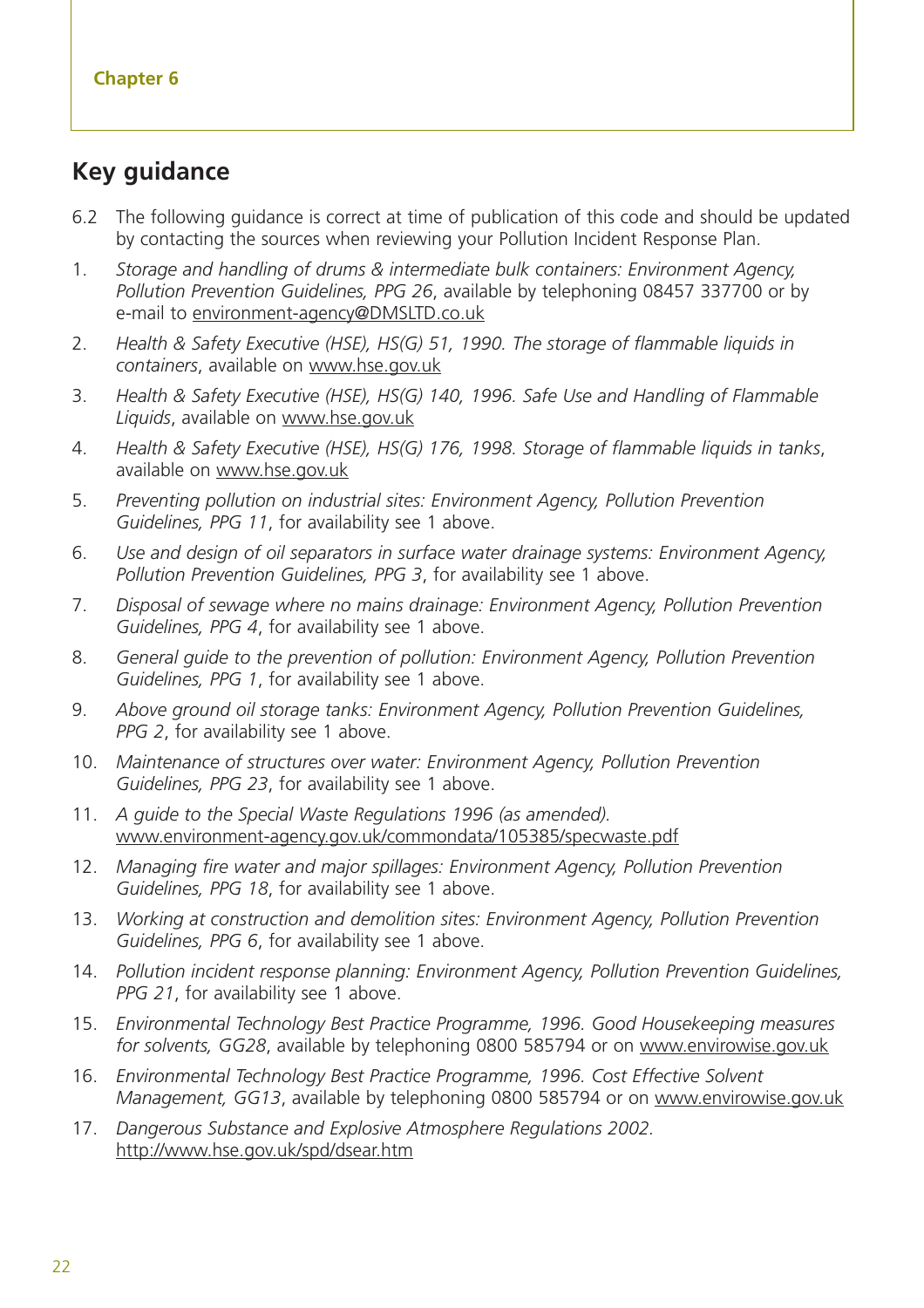### **Key guidance**

- 6.2 The following guidance is correct at time of publication of this code and should be updated by contacting the sources when reviewing your Pollution Incident Response Plan.
- 1. *Storage and handling of drums & intermediate bulk containers: Environment Agency, Pollution Prevention Guidelines, PPG 26*, available by telephoning 08457 337700 or by e-mail to environment-agency@DMSLTD.co.uk
- 2. *Health & Safety Executive (HSE), HS(G) 51, 1990. The storage of flammable liquids in containers*, available on www.hse.gov.uk
- 3. *Health & Safety Executive (HSE), HS(G) 140, 1996. Safe Use and Handling of Flammable Liquids*, available on www.hse.gov.uk
- 4. *Health & Safety Executive (HSE), HS(G) 176, 1998. Storage of flammable liquids in tanks*, available on www.hse.gov.uk
- 5. *Preventing pollution on industrial sites: Environment Agency, Pollution Prevention Guidelines, PPG 11*, for availability see 1 above.
- 6. *Use and design of oil separators in surface water drainage systems: Environment Agency, Pollution Prevention Guidelines, PPG 3*, for availability see 1 above.
- 7. *Disposal of sewage where no mains drainage: Environment Agency, Pollution Prevention Guidelines, PPG 4*, for availability see 1 above.
- 8. *General guide to the prevention of pollution: Environment Agency, Pollution Prevention Guidelines, PPG 1*, for availability see 1 above.
- 9. *Above ground oil storage tanks: Environment Agency, Pollution Prevention Guidelines, PPG 2*, for availability see 1 above.
- 10. *Maintenance of structures over water: Environment Agency, Pollution Prevention Guidelines, PPG 23*, for availability see 1 above.
- 11. *A guide to the Special Waste Regulations 1996 (as amended).* www.environment-agency.gov.uk/commondata/105385/specwaste.pdf
- 12. *Managing fire water and major spillages: Environment Agency, Pollution Prevention Guidelines, PPG 18*, for availability see 1 above.
- 13. *Working at construction and demolition sites: Environment Agency, Pollution Prevention Guidelines, PPG 6*, for availability see 1 above.
- 14. *Pollution incident response planning: Environment Agency, Pollution Prevention Guidelines, PPG 21*, for availability see 1 above.
- 15. *Environmental Technology Best Practice Programme, 1996. Good Housekeeping measures for solvents, GG28*, available by telephoning 0800 585794 or on www.envirowise.gov.uk
- 16. *Environmental Technology Best Practice Programme, 1996. Cost Effective Solvent Management, GG13*, available by telephoning 0800 585794 or on www.envirowise.gov.uk
- 17. *Dangerous Substance and Explosive Atmosphere Regulations 2002.* http://www.hse.gov.uk/spd/dsear.htm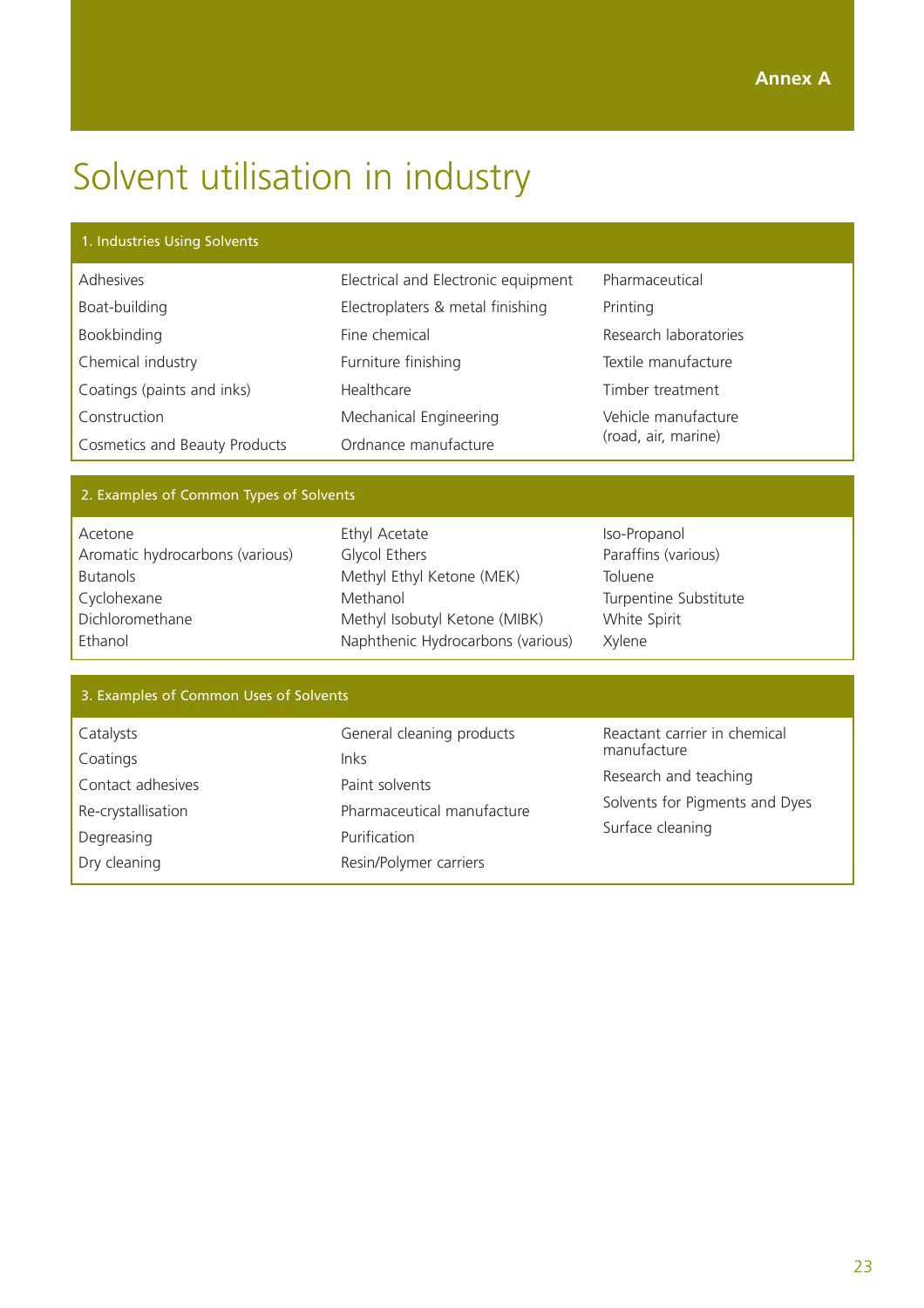## Solvent utilisation in industry

#### 1. Industries Using Solvents

| Adhesives                            | Electrical and Electronic equipment | Pharmaceutical        |  |
|--------------------------------------|-------------------------------------|-----------------------|--|
| Boat-building                        | Electroplaters & metal finishing    | Printing              |  |
| Bookbinding                          | Fine chemical                       | Research laboratories |  |
| Chemical industry                    | Furniture finishing                 | Textile manufacture   |  |
| Coatings (paints and inks)           | Healthcare                          | Timber treatment      |  |
| Construction                         | Mechanical Engineering              | Vehicle manufacture   |  |
| <b>Cosmetics and Beauty Products</b> | Ordnance manufacture                | (road, air, marine)   |  |

#### 2. Examples of Common Types of Solvents

| Acetone                         |
|---------------------------------|
| Aromatic hydrocarbons (various) |
| <b>Butanols</b>                 |
| Cyclohexane                     |
| Dichloromethane                 |
| Ethanol                         |

Ethyl Acetate Glycol Ethers Methyl Ethyl Ketone (MEK) Methanol Methyl Isobutyl Ketone (MIBK) Naphthenic Hydrocarbons (various)

Iso-Propanol Paraffins (various) Toluene Turpentine Substitute White Spirit Xylene

| 3. Examples of Common Uses of Solvents |                            |                                                    |  |
|----------------------------------------|----------------------------|----------------------------------------------------|--|
|                                        |                            |                                                    |  |
| Catalysts                              | General cleaning products  | Reactant carrier in chemical<br>manufacture        |  |
| Coatings                               | Inks                       |                                                    |  |
| Contact adhesives                      | Paint solvents             | Research and teaching                              |  |
| Re-crystallisation                     | Pharmaceutical manufacture | Solvents for Pigments and Dyes<br>Surface cleaning |  |
| Degreasing                             | Purification               |                                                    |  |
| Dry cleaning                           | Resin/Polymer carriers     |                                                    |  |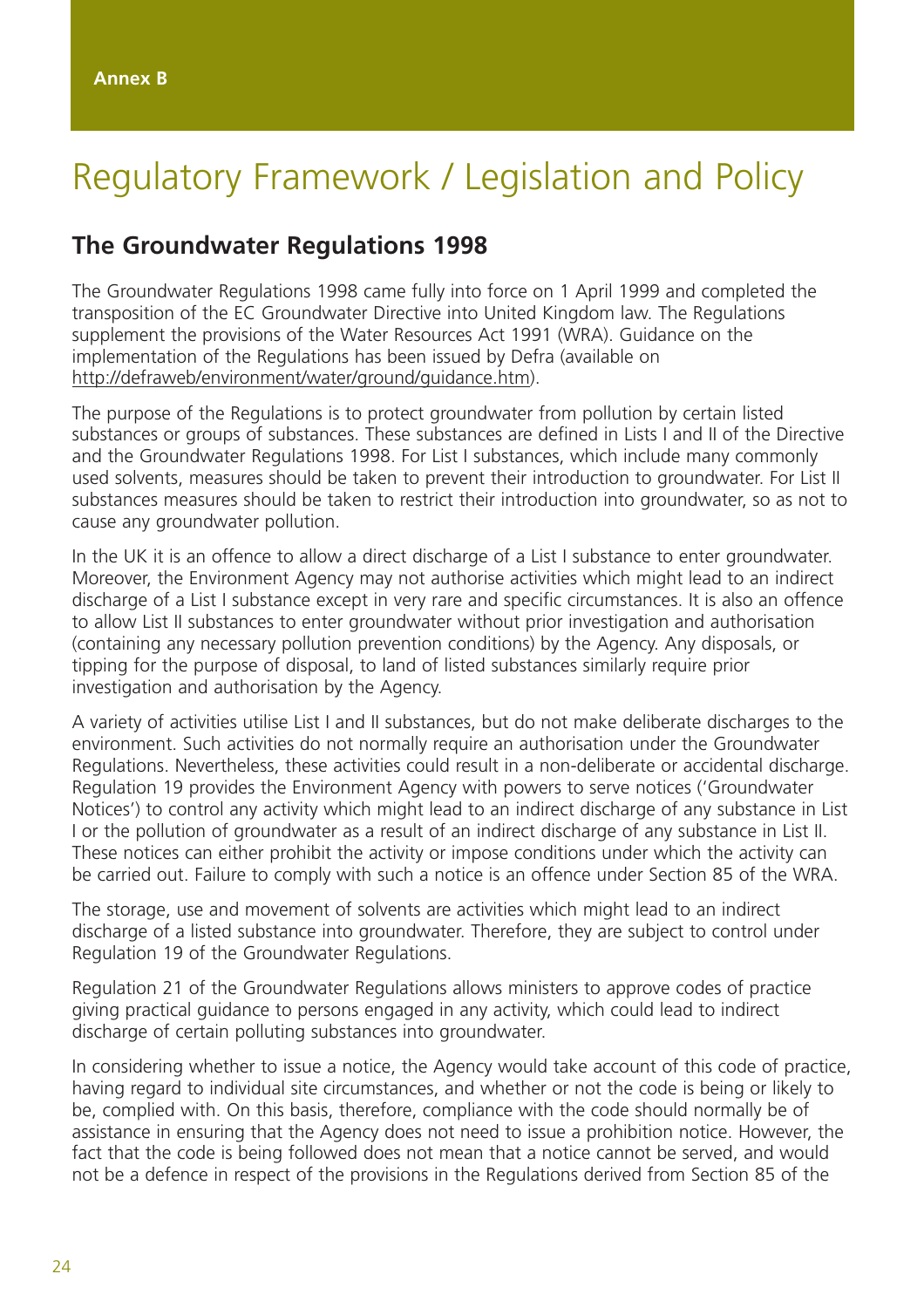## Regulatory Framework / Legislation and Policy

#### **The Groundwater Regulations 1998**

The Groundwater Regulations 1998 came fully into force on 1 April 1999 and completed the transposition of the EC Groundwater Directive into United Kingdom law. The Regulations supplement the provisions of the Water Resources Act 1991 (WRA). Guidance on the implementation of the Regulations has been issued by Defra (available on http://defraweb/environment/water/ground/guidance.htm).

The purpose of the Regulations is to protect groundwater from pollution by certain listed substances or groups of substances. These substances are defined in Lists I and II of the Directive and the Groundwater Regulations 1998. For List I substances, which include many commonly used solvents, measures should be taken to prevent their introduction to groundwater. For List II substances measures should be taken to restrict their introduction into groundwater, so as not to cause any groundwater pollution.

In the UK it is an offence to allow a direct discharge of a List I substance to enter groundwater. Moreover, the Environment Agency may not authorise activities which might lead to an indirect discharge of a List I substance except in very rare and specific circumstances. It is also an offence to allow List II substances to enter groundwater without prior investigation and authorisation (containing any necessary pollution prevention conditions) by the Agency. Any disposals, or tipping for the purpose of disposal, to land of listed substances similarly require prior investigation and authorisation by the Agency.

A variety of activities utilise List I and II substances, but do not make deliberate discharges to the environment. Such activities do not normally require an authorisation under the Groundwater Regulations. Nevertheless, these activities could result in a non-deliberate or accidental discharge. Regulation 19 provides the Environment Agency with powers to serve notices ('Groundwater Notices') to control any activity which might lead to an indirect discharge of any substance in List I or the pollution of groundwater as a result of an indirect discharge of any substance in List II. These notices can either prohibit the activity or impose conditions under which the activity can be carried out. Failure to comply with such a notice is an offence under Section 85 of the WRA.

The storage, use and movement of solvents are activities which might lead to an indirect discharge of a listed substance into groundwater. Therefore, they are subject to control under Regulation 19 of the Groundwater Regulations.

Regulation 21 of the Groundwater Regulations allows ministers to approve codes of practice giving practical guidance to persons engaged in any activity, which could lead to indirect discharge of certain polluting substances into groundwater.

In considering whether to issue a notice, the Agency would take account of this code of practice, having regard to individual site circumstances, and whether or not the code is being or likely to be, complied with. On this basis, therefore, compliance with the code should normally be of assistance in ensuring that the Agency does not need to issue a prohibition notice. However, the fact that the code is being followed does not mean that a notice cannot be served, and would not be a defence in respect of the provisions in the Regulations derived from Section 85 of the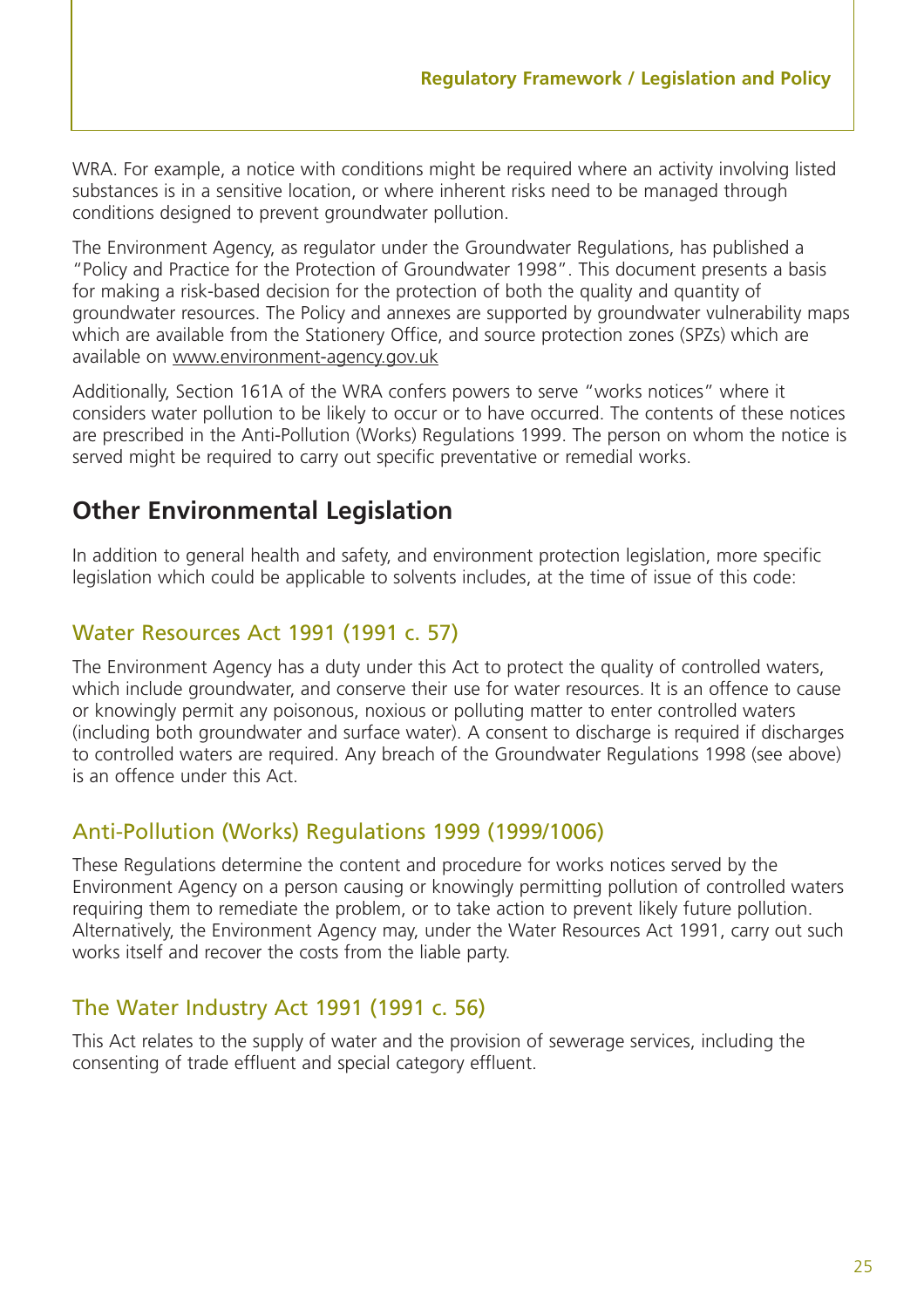WRA. For example, a notice with conditions might be required where an activity involving listed substances is in a sensitive location, or where inherent risks need to be managed through conditions designed to prevent groundwater pollution.

The Environment Agency, as regulator under the Groundwater Regulations, has published a "Policy and Practice for the Protection of Groundwater 1998". This document presents a basis for making a risk-based decision for the protection of both the quality and quantity of groundwater resources. The Policy and annexes are supported by groundwater vulnerability maps which are available from the Stationery Office, and source protection zones (SPZs) which are available on www.environment-agency.gov.uk

Additionally, Section 161A of the WRA confers powers to serve "works notices" where it considers water pollution to be likely to occur or to have occurred. The contents of these notices are prescribed in the Anti-Pollution (Works) Regulations 1999. The person on whom the notice is served might be required to carry out specific preventative or remedial works.

### **Other Environmental Legislation**

In addition to general health and safety, and environment protection legislation, more specific legislation which could be applicable to solvents includes, at the time of issue of this code:

#### Water Resources Act 1991 (1991 c. 57)

The Environment Agency has a duty under this Act to protect the quality of controlled waters, which include groundwater, and conserve their use for water resources. It is an offence to cause or knowingly permit any poisonous, noxious or polluting matter to enter controlled waters (including both groundwater and surface water). A consent to discharge is required if discharges to controlled waters are required. Any breach of the Groundwater Regulations 1998 (see above) is an offence under this Act.

#### Anti-Pollution (Works) Regulations 1999 (1999/1006)

These Regulations determine the content and procedure for works notices served by the Environment Agency on a person causing or knowingly permitting pollution of controlled waters requiring them to remediate the problem, or to take action to prevent likely future pollution. Alternatively, the Environment Agency may, under the Water Resources Act 1991, carry out such works itself and recover the costs from the liable party.

#### The Water Industry Act 1991 (1991 c. 56)

This Act relates to the supply of water and the provision of sewerage services, including the consenting of trade effluent and special category effluent.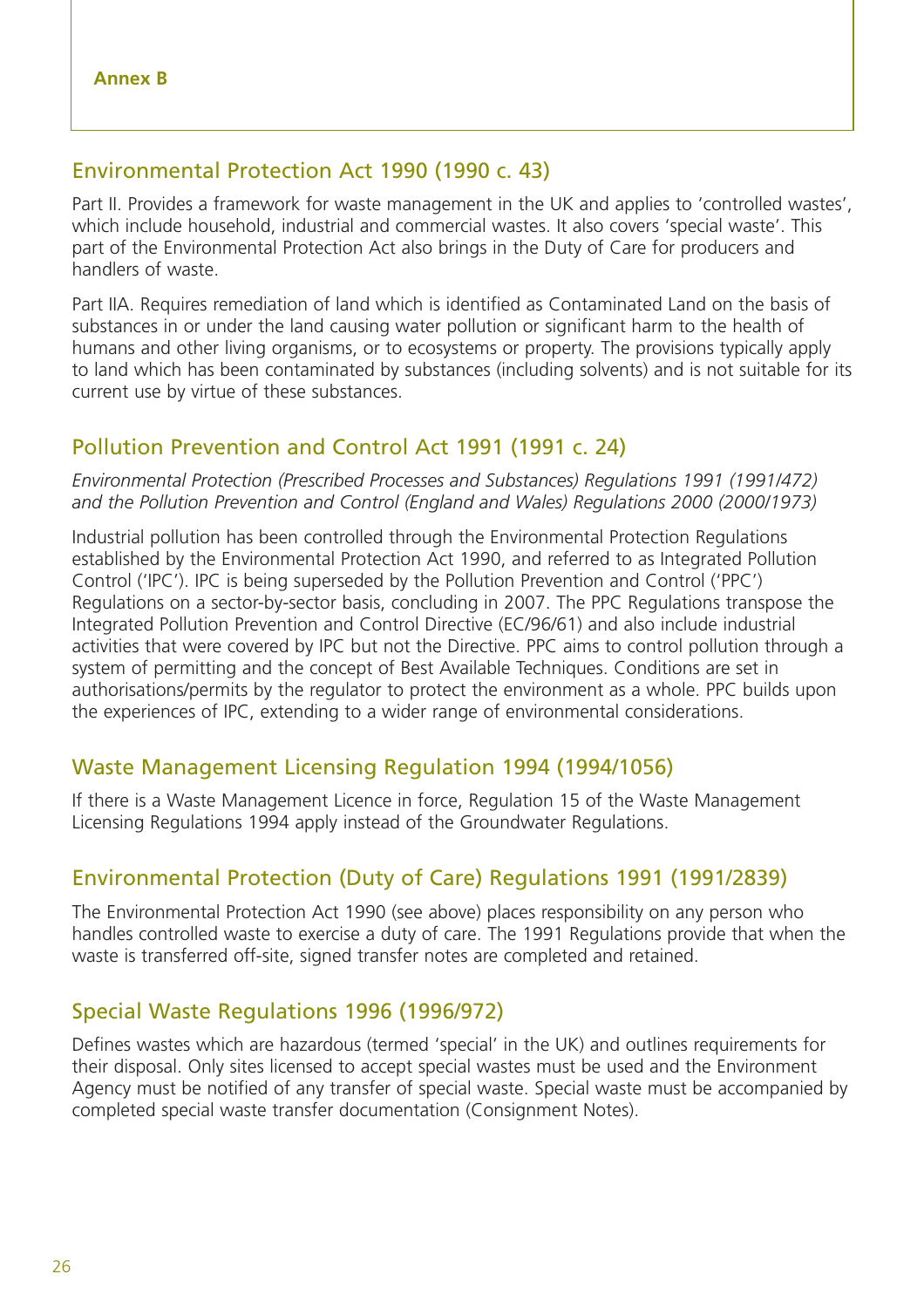#### Environmental Protection Act 1990 (1990 c. 43)

Part II. Provides a framework for waste management in the UK and applies to 'controlled wastes', which include household, industrial and commercial wastes. It also covers 'special waste'. This part of the Environmental Protection Act also brings in the Duty of Care for producers and handlers of waste.

Part IIA. Requires remediation of land which is identified as Contaminated Land on the basis of substances in or under the land causing water pollution or significant harm to the health of humans and other living organisms, or to ecosystems or property. The provisions typically apply to land which has been contaminated by substances (including solvents) and is not suitable for its current use by virtue of these substances.

#### Pollution Prevention and Control Act 1991 (1991 c. 24)

*Environmental Protection (Prescribed Processes and Substances) Regulations 1991 (1991/472) and the Pollution Prevention and Control (England and Wales) Regulations 2000 (2000/1973)*

Industrial pollution has been controlled through the Environmental Protection Regulations established by the Environmental Protection Act 1990, and referred to as Integrated Pollution Control ('IPC'). IPC is being superseded by the Pollution Prevention and Control ('PPC') Regulations on a sector-by-sector basis, concluding in 2007. The PPC Regulations transpose the Integrated Pollution Prevention and Control Directive (EC/96/61) and also include industrial activities that were covered by IPC but not the Directive. PPC aims to control pollution through a system of permitting and the concept of Best Available Techniques. Conditions are set in authorisations/permits by the regulator to protect the environment as a whole. PPC builds upon the experiences of IPC, extending to a wider range of environmental considerations.

#### Waste Management Licensing Regulation 1994 (1994/1056)

If there is a Waste Management Licence in force, Regulation 15 of the Waste Management Licensing Regulations 1994 apply instead of the Groundwater Regulations.

#### Environmental Protection (Duty of Care) Regulations 1991 (1991/2839)

The Environmental Protection Act 1990 (see above) places responsibility on any person who handles controlled waste to exercise a duty of care. The 1991 Regulations provide that when the waste is transferred off-site, signed transfer notes are completed and retained.

#### Special Waste Regulations 1996 (1996/972)

Defines wastes which are hazardous (termed 'special' in the UK) and outlines requirements for their disposal. Only sites licensed to accept special wastes must be used and the Environment Agency must be notified of any transfer of special waste. Special waste must be accompanied by completed special waste transfer documentation (Consignment Notes).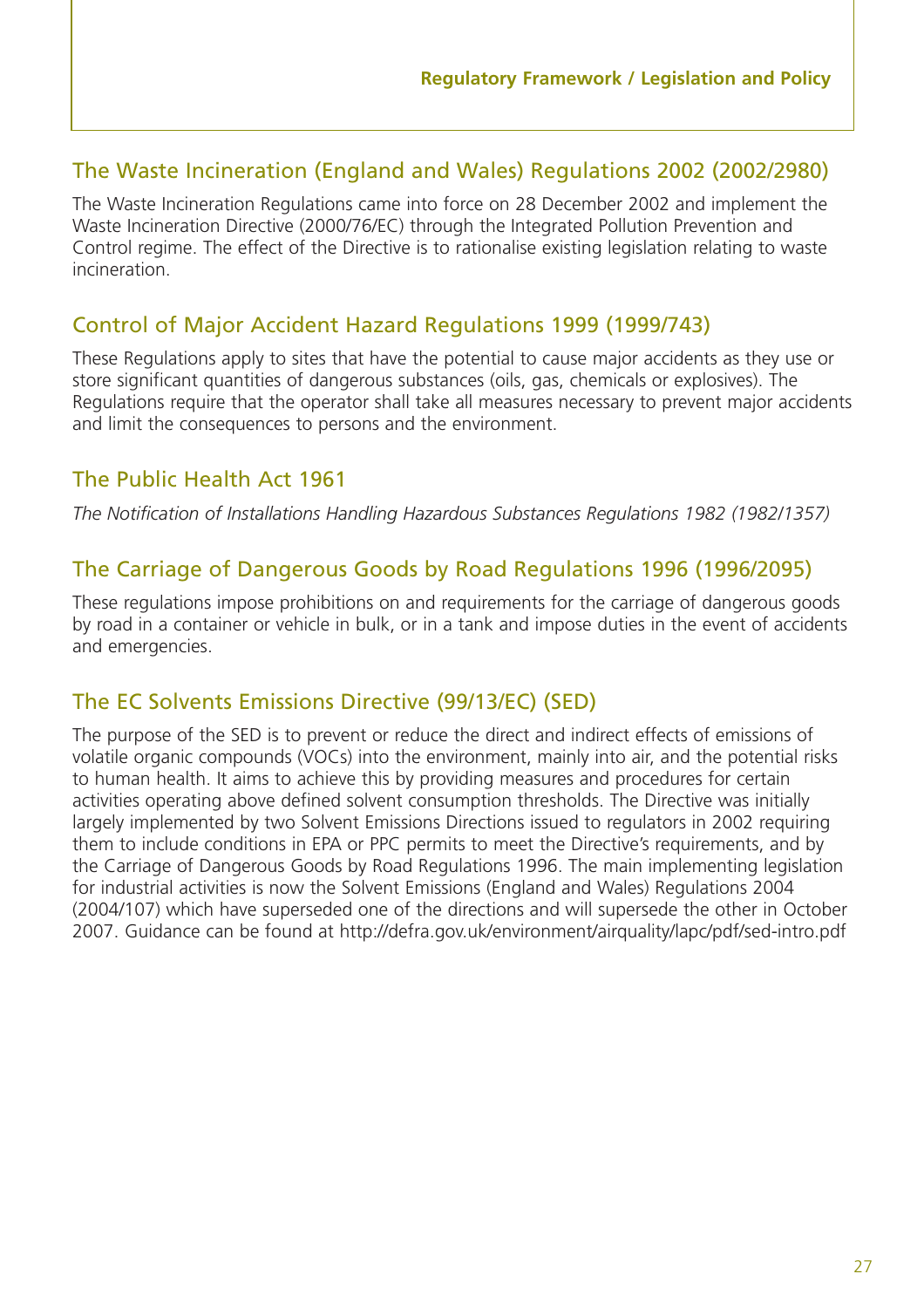#### The Waste Incineration (England and Wales) Regulations 2002 (2002/2980)

The Waste Incineration Regulations came into force on 28 December 2002 and implement the Waste Incineration Directive (2000/76/EC) through the Integrated Pollution Prevention and Control regime. The effect of the Directive is to rationalise existing legislation relating to waste incineration.

#### Control of Major Accident Hazard Regulations 1999 (1999/743)

These Regulations apply to sites that have the potential to cause major accidents as they use or store significant quantities of dangerous substances (oils, gas, chemicals or explosives). The Regulations require that the operator shall take all measures necessary to prevent major accidents and limit the consequences to persons and the environment.

#### The Public Health Act 1961

*The Notification of Installations Handling Hazardous Substances Regulations 1982 (1982/1357)*

#### The Carriage of Dangerous Goods by Road Regulations 1996 (1996/2095)

These regulations impose prohibitions on and requirements for the carriage of dangerous goods by road in a container or vehicle in bulk, or in a tank and impose duties in the event of accidents and emergencies.

#### The EC Solvents Emissions Directive (99/13/EC) (SED)

The purpose of the SED is to prevent or reduce the direct and indirect effects of emissions of volatile organic compounds (VOCs) into the environment, mainly into air, and the potential risks to human health. It aims to achieve this by providing measures and procedures for certain activities operating above defined solvent consumption thresholds. The Directive was initially largely implemented by two Solvent Emissions Directions issued to regulators in 2002 requiring them to include conditions in EPA or PPC permits to meet the Directive's requirements, and by the Carriage of Dangerous Goods by Road Regulations 1996. The main implementing legislation for industrial activities is now the Solvent Emissions (England and Wales) Regulations 2004 (2004/107) which have superseded one of the directions and will supersede the other in October 2007. Guidance can be found at http://defra.gov.uk/environment/airquality/lapc/pdf/sed-intro.pdf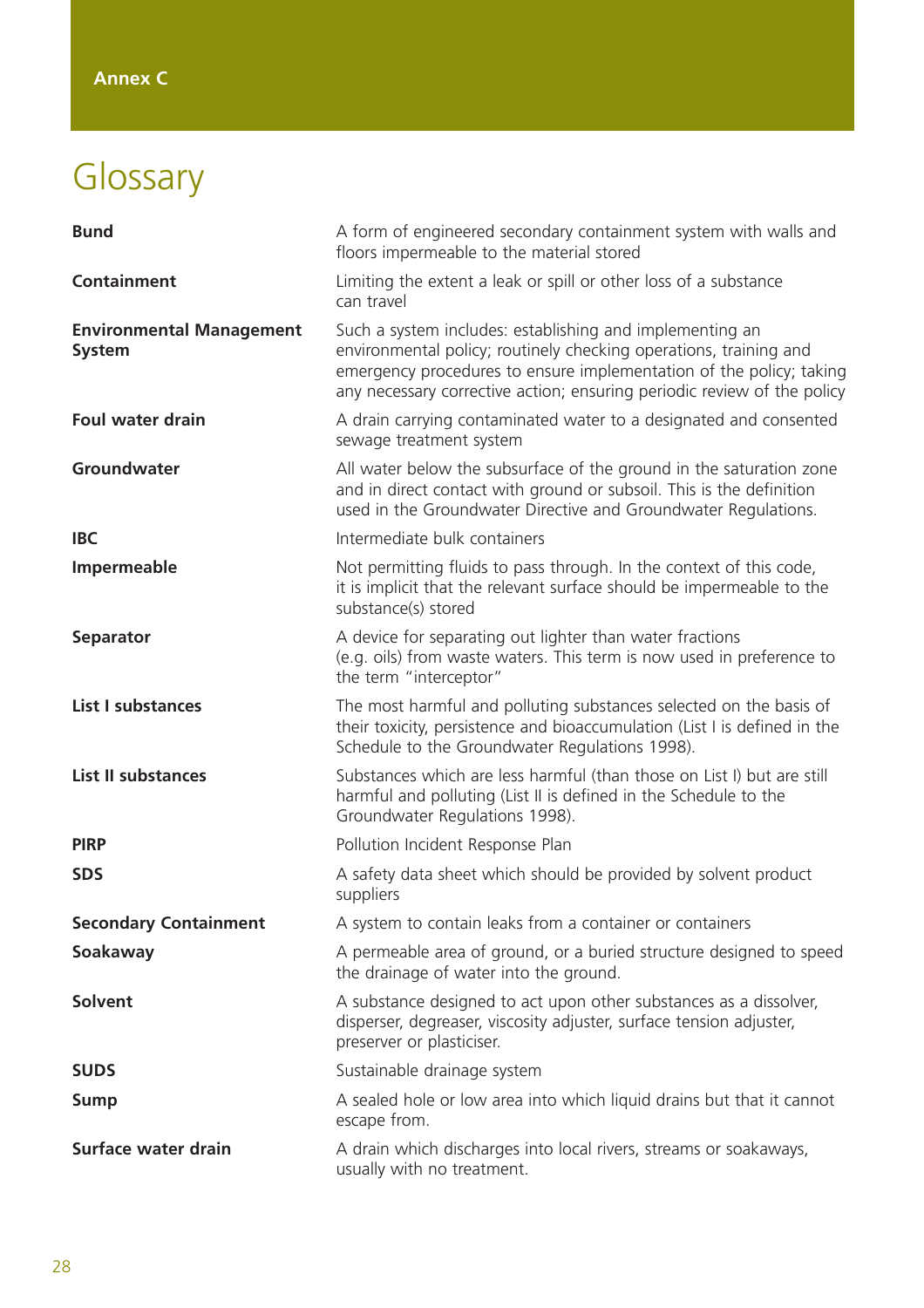# Glossary

| <b>Bund</b>                                      | A form of engineered secondary containment system with walls and<br>floors impermeable to the material stored                                                                                                                                                                   |
|--------------------------------------------------|---------------------------------------------------------------------------------------------------------------------------------------------------------------------------------------------------------------------------------------------------------------------------------|
| <b>Containment</b>                               | Limiting the extent a leak or spill or other loss of a substance<br>can travel                                                                                                                                                                                                  |
| <b>Environmental Management</b><br><b>System</b> | Such a system includes: establishing and implementing an<br>environmental policy; routinely checking operations, training and<br>emergency procedures to ensure implementation of the policy; taking<br>any necessary corrective action; ensuring periodic review of the policy |
| <b>Foul water drain</b>                          | A drain carrying contaminated water to a designated and consented<br>sewage treatment system                                                                                                                                                                                    |
| Groundwater                                      | All water below the subsurface of the ground in the saturation zone<br>and in direct contact with ground or subsoil. This is the definition<br>used in the Groundwater Directive and Groundwater Regulations.                                                                   |
| <b>IBC</b>                                       | Intermediate bulk containers                                                                                                                                                                                                                                                    |
| Impermeable                                      | Not permitting fluids to pass through. In the context of this code,<br>it is implicit that the relevant surface should be impermeable to the<br>substance(s) stored                                                                                                             |
| <b>Separator</b>                                 | A device for separating out lighter than water fractions<br>(e.g. oils) from waste waters. This term is now used in preference to<br>the term "interceptor"                                                                                                                     |
| <b>List I substances</b>                         | The most harmful and polluting substances selected on the basis of<br>their toxicity, persistence and bioaccumulation (List I is defined in the<br>Schedule to the Groundwater Regulations 1998).                                                                               |
| <b>List II substances</b>                        | Substances which are less harmful (than those on List I) but are still<br>harmful and polluting (List II is defined in the Schedule to the<br>Groundwater Regulations 1998).                                                                                                    |
| <b>PIRP</b>                                      | Pollution Incident Response Plan                                                                                                                                                                                                                                                |
| <b>SDS</b>                                       | A safety data sheet which should be provided by solvent product<br>suppliers                                                                                                                                                                                                    |
| <b>Secondary Containment</b>                     | A system to contain leaks from a container or containers                                                                                                                                                                                                                        |
| Soakaway                                         | A permeable area of ground, or a buried structure designed to speed<br>the drainage of water into the ground.                                                                                                                                                                   |
| <b>Solvent</b>                                   | A substance designed to act upon other substances as a dissolver,<br>disperser, degreaser, viscosity adjuster, surface tension adjuster,<br>preserver or plasticiser.                                                                                                           |
| <b>SUDS</b>                                      | Sustainable drainage system                                                                                                                                                                                                                                                     |
| <b>Sump</b>                                      | A sealed hole or low area into which liquid drains but that it cannot<br>escape from.                                                                                                                                                                                           |
| Surface water drain                              | A drain which discharges into local rivers, streams or soakaways,<br>usually with no treatment.                                                                                                                                                                                 |